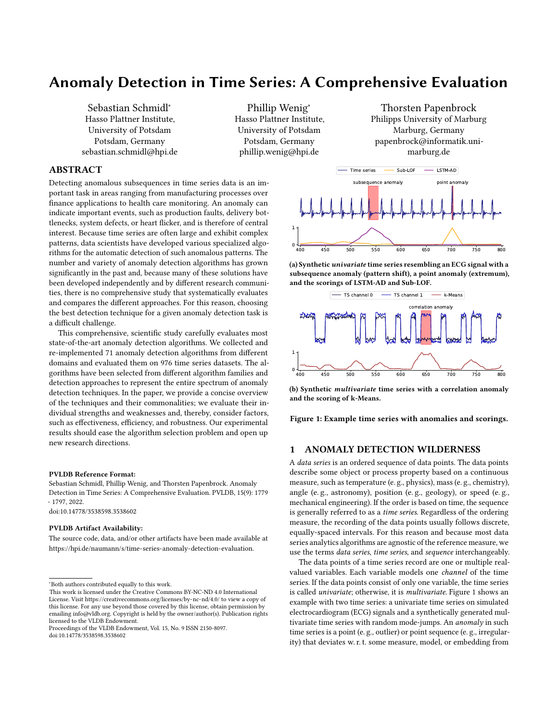# Anomaly Detection in Time Series: A Comprehensive Evaluation

Sebastian Schmidl<sup>∗</sup> Hasso Plattner Institute, University of Potsdam Potsdam, Germany sebastian.schmidl@hpi.de

Phillip Wenig<sup>∗</sup> Hasso Plattner Institute, University of Potsdam Potsdam, Germany phillip.wenig@hpi.de

Thorsten Papenbrock Philipps University of Marburg Marburg, Germany papenbrock@informatik.unimarburg.de

## ABSTRACT

Detecting anomalous subsequences in time series data is an important task in areas ranging from manufacturing processes over finance applications to health care monitoring. An anomaly can indicate important events, such as production faults, delivery bottlenecks, system defects, or heart flicker, and is therefore of central interest. Because time series are often large and exhibit complex patterns, data scientists have developed various specialized algorithms for the automatic detection of such anomalous patterns. The number and variety of anomaly detection algorithms has grown significantly in the past and, because many of these solutions have been developed independently and by different research communities, there is no comprehensive study that systematically evaluates and compares the different approaches. For this reason, choosing the best detection technique for a given anomaly detection task is a difficult challenge.

This comprehensive, scientific study carefully evaluates most state-of-the-art anomaly detection algorithms. We collected and re-implemented 71 anomaly detection algorithms from different domains and evaluated them on 976 time series datasets. The algorithms have been selected from different algorithm families and detection approaches to represent the entire spectrum of anomaly detection techniques. In the paper, we provide a concise overview of the techniques and their commonalities; we evaluate their individual strengths and weaknesses and, thereby, consider factors, such as effectiveness, efficiency, and robustness. Our experimental results should ease the algorithm selection problem and open up new research directions.

#### PVLDB Reference Format:

Sebastian Schmidl, Phillip Wenig, and Thorsten Papenbrock. Anomaly Detection in Time Series: A Comprehensive Evaluation. PVLDB, 15(9): 1779 - 1797, 2022.

[doi:10.14778/3538598.3538602](https://doi.org/10.14778/3538598.3538602)

#### PVLDB Artifact Availability:

The source code, data, and/or other artifacts have been made available at [https://hpi.de/naumann/s/time-series-anomaly-detection-evaluation.](https://hpi.de/naumann/s/time-series-anomaly-detection-evaluation)

<span id="page-0-0"></span>

(a) Synthetic univariate time series resembling an ECG signal with a subsequence anomaly (pattern shift), a point anomaly (extremum), and the scorings of LSTM-AD and Sub-LOF.



(b) Synthetic multivariate time series with a correlation anomaly and the scoring of k-Means.

Figure 1: Example time series with anomalies and scorings.

#### 1 ANOMALY DETECTION WILDERNESS

A data series is an ordered sequence of data points. The data points describe some object or process property based on a continuous measure, such as temperature (e. g., physics), mass (e. g., chemistry), angle (e. g., astronomy), position (e. g., geology), or speed (e. g., mechanical engineering). If the order is based on time, the sequence is generally referred to as a time series. Regardless of the ordering measure, the recording of the data points usually follows discrete, equally-spaced intervals. For this reason and because most data series analytics algorithms are agnostic of the reference measure, we use the terms data series, time series, and sequence interchangeably.

The data points of a time series record are one or multiple realvalued variables. Each variable models one channel of the time series. If the data points consist of only one variable, the time series is called univariate; otherwise, it is multivariate. Figure [1](#page-0-0) shows an example with two time series: a univariate time series on simulated electrocardiogram (ECG) signals and a synthetically generated multivariate time series with random mode-jumps. An anomaly in such time series is a point (e. g., outlier) or point sequence (e. g., irregularity) that deviates w. r. t. some measure, model, or embedding from

<sup>∗</sup>Both authors contributed equally to this work.

This work is licensed under the Creative Commons BY-NC-ND 4.0 International License. Visit<https://creativecommons.org/licenses/by-nc-nd/4.0/> to view a copy of this license. For any use beyond those covered by this license, obtain permission by emailing [info@vldb.org.](mailto:info@vldb.org) Copyright is held by the owner/author(s). Publication rights licensed to the VLDB Endowment.

Proceedings of the VLDB Endowment, Vol. 15, No. 9 ISSN 2150-8097. [doi:10.14778/3538598.3538602](https://doi.org/10.14778/3538598.3538602)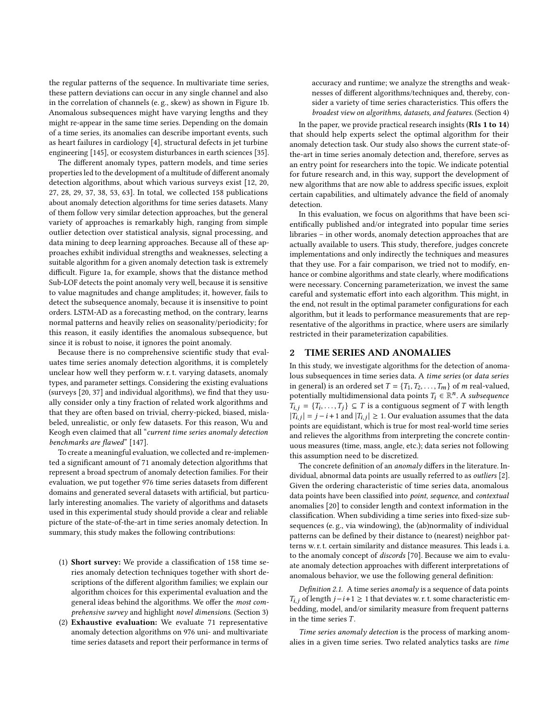the regular patterns of the sequence. In multivariate time series, these pattern deviations can occur in any single channel and also in the correlation of channels (e. g., skew) as shown in Figure [1b.](#page-0-0) Anomalous subsequences might have varying lengths and they might re-appear in the same time series. Depending on the domain of a time series, its anomalies can describe important events, such as heart failures in cardiology [\[4\]](#page-12-0), structural defects in jet turbine engineering [\[145\]](#page-17-0), or ecosystem disturbances in earth sciences [\[35\]](#page-13-0).

The different anomaly types, pattern models, and time series properties led to the development of a multitude of different anomaly detection algorithms, about which various surveys exist [\[12,](#page-12-1) [20,](#page-12-2) [27,](#page-13-1) [28,](#page-13-2) [29,](#page-13-3) [37,](#page-13-4) [38,](#page-13-5) [53,](#page-14-0) [63\]](#page-14-1). In total, we collected 158 publications about anomaly detection algorithms for time series datasets. Many of them follow very similar detection approaches, but the general variety of approaches is remarkably high, ranging from simple outlier detection over statistical analysis, signal processing, and data mining to deep learning approaches. Because all of these approaches exhibit individual strengths and weaknesses, selecting a suitable algorithm for a given anomaly detection task is extremely difficult. Figure [1a,](#page-0-0) for example, shows that the distance method Sub-LOF detects the point anomaly very well, because it is sensitive to value magnitudes and change amplitudes; it, however, fails to detect the subsequence anomaly, because it is insensitive to point orders. LSTM-AD as a forecasting method, on the contrary, learns normal patterns and heavily relies on seasonality/periodicity; for this reason, it easily identifies the anomalous subsequence, but since it is robust to noise, it ignores the point anomaly.

Because there is no comprehensive scientific study that evaluates time series anomaly detection algorithms, it is completely unclear how well they perform w. r. t. varying datasets, anomaly types, and parameter settings. Considering the existing evaluations (surveys [\[20,](#page-12-2) [37\]](#page-13-4) and individual algorithms), we find that they usually consider only a tiny fraction of related work algorithms and that they are often based on trivial, cherry-picked, biased, mislabeled, unrealistic, or only few datasets. For this reason, Wu and Keogh even claimed that all "current time series anomaly detection benchmarks are flawed" [\[147\]](#page-17-1).

To create a meaningful evaluation, we collected and re-implemented a significant amount of 71 anomaly detection algorithms that represent a broad spectrum of anomaly detection families. For their evaluation, we put together 976 time series datasets from different domains and generated several datasets with artificial, but particularly interesting anomalies. The variety of algorithms and datasets used in this experimental study should provide a clear and reliable picture of the state-of-the-art in time series anomaly detection. In summary, this study makes the following contributions:

- (1) Short survey: We provide a classification of 158 time series anomaly detection techniques together with short descriptions of the different algorithm families; we explain our algorithm choices for this experimental evaluation and the general ideas behind the algorithms. We offer the most comprehensive survey and highlight novel dimensions. (Section [3\)](#page-2-0)
- (2) Exhaustive evaluation: We evaluate 71 representative anomaly detection algorithms on 976 uni- and multivariate time series datasets and report their performance in terms of

accuracy and runtime; we analyze the strengths and weaknesses of different algorithms/techniques and, thereby, consider a variety of time series characteristics. This offers the broadest view on algorithms, datasets, and features. (Section [4\)](#page-6-0)

In the paper, we provide practical research insights (RIs [1](#page-7-0) to [14](#page-11-0)) that should help experts select the optimal algorithm for their anomaly detection task. Our study also shows the current state-ofthe-art in time series anomaly detection and, therefore, serves as an entry point for researchers into the topic. We indicate potential for future research and, in this way, support the development of new algorithms that are now able to address specific issues, exploit certain capabilities, and ultimately advance the field of anomaly detection.

In this evaluation, we focus on algorithms that have been scientifically published and/or integrated into popular time series libraries – in other words, anomaly detection approaches that are actually available to users. This study, therefore, judges concrete implementations and only indirectly the techniques and measures that they use. For a fair comparison, we tried not to modify, enhance or combine algorithms and state clearly, where modifications were necessary. Concerning parameterization, we invest the same careful and systematic effort into each algorithm. This might, in the end, not result in the optimal parameter configurations for each algorithm, but it leads to performance measurements that are representative of the algorithms in practice, where users are similarly restricted in their parameterization capabilities.

#### <span id="page-1-0"></span>2 TIME SERIES AND ANOMALIES

In this study, we investigate algorithms for the detection of anomalous subsequences in time series data. A time series (or data series in general) is an ordered set  $T = \{T_1, T_2, \ldots, T_m\}$  of *m* real-valued, potentially multidimensional data points  $T_i \in \mathbb{R}^n$ . A subsequence  $T_{i,j} = \{T_i, \ldots, T_j\} \subseteq T$  is a contiguous segment of T with length  $|T_{i,j}| = j - i + 1$  and  $|T_{i,j}| \ge 1$ . Our evaluation assumes that the data points are equidistant, which is true for most real-world time series and relieves the algorithms from interpreting the concrete continuous measures (time, mass, angle, etc.); data series not following this assumption need to be discretized.

The concrete definition of an anomaly differs in the literature. In-dividual, abnormal data points are usually referred to as outliers [\[2\]](#page-12-3). Given the ordering characteristic of time series data, anomalous data points have been classified into point, sequence, and contextual anomalies [\[20\]](#page-12-2) to consider length and context information in the classification. When subdividing a time series into fixed-size subsequences (e. g., via windowing), the (ab)normality of individual patterns can be defined by their distance to (nearest) neighbor patterns w. r. t. certain similarity and distance measures. This leads i. a. to the anomaly concept of discords [\[70\]](#page-14-2). Because we aim to evaluate anomaly detection approaches with different interpretations of anomalous behavior, we use the following general definition:

Definition 2.1. A time series anomaly is a sequence of data points  $T_{i,i}$  of length  $j-i+1 \geq 1$  that deviates w. r. t. some characteristic embedding, model, and/or similarity measure from frequent patterns in the time series  $T$ .

Time series anomaly detection is the process of marking anomalies in a given time series. Two related analytics tasks are time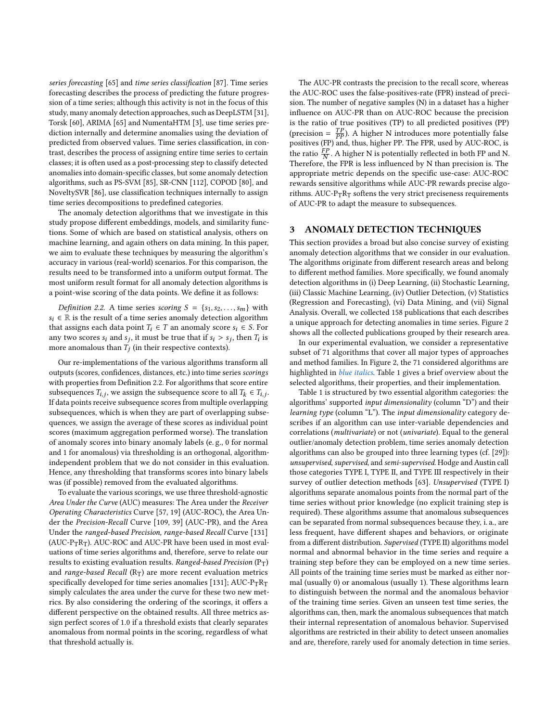series forecasting [\[65\]](#page-14-3) and time series classification [\[87\]](#page-15-0). Time series forecasting describes the process of predicting the future progression of a time series; although this activity is not in the focus of this study, many anomaly detection approaches, such as DeepLSTM [\[31\]](#page-13-6), Torsk [\[60\]](#page-14-4), ARIMA [\[65\]](#page-14-3) and NumentaHTM [\[3\]](#page-12-4), use time series prediction internally and determine anomalies using the deviation of predicted from observed values. Time series classification, in contrast, describes the process of assigning entire time series to certain classes; it is often used as a post-processing step to classify detected anomalies into domain-specific classes, but some anomaly detection algorithms, such as PS-SVM [\[85\]](#page-15-1), SR-CNN [\[112\]](#page-16-0), COPOD [\[80\]](#page-15-2), and NoveltySVR [\[86\]](#page-15-3), use classification techniques internally to assign time series decompositions to predefined categories.

The anomaly detection algorithms that we investigate in this study propose different embeddings, models, and similarity functions. Some of which are based on statistical analysis, others on machine learning, and again others on data mining. In this paper, we aim to evaluate these techniques by measuring the algorithm's accuracy in various (real-world) scenarios. For this comparison, the results need to be transformed into a uniform output format. The most uniform result format for all anomaly detection algorithms is a point-wise scoring of the data points. We define it as follows:

<span id="page-2-1"></span>Definition 2.2. A time series scoring  $S = \{s_1, s_2, \ldots, s_m\}$  with  $s_i \in \mathbb{R}$  is the result of a time series anomaly detection algorithm that assigns each data point  $T_i \in T$  an anomaly score  $s_i \in S$ . For any two scores  $s_i$  and  $s_j$ , it must be true that if  $s_i > s_j$ , then  $T_i$  is more anomalous than  $\overline{T}_i$  (in their respective contexts).

Our re-implementations of the various algorithms transform all outputs (scores, confidences, distances, etc.) into time series scorings with properties from Definition [2.2.](#page-2-1) For algorithms that score entire subsequences  $T_{i,j}$ , we assign the subsequence score to all  $T_k \in T_{i,j}$ . If data points receive subsequence scores from multiple overlapping subsequences, which is when they are part of overlapping subsequences, we assign the average of these scores as individual point scores (maximum aggregation performed worse). The translation of anomaly scores into binary anomaly labels (e. g., 0 for normal and 1 for anomalous) via thresholding is an orthogonal, algorithmindependent problem that we do not consider in this evaluation. Hence, any thresholding that transforms scores into binary labels was (if possible) removed from the evaluated algorithms.

To evaluate the various scorings, we use three threshold-agnostic Area Under the Curve (AUC) measures: The Area under the Receiver Operating Characteristics Curve [\[57,](#page-14-5) [19\]](#page-12-5) (AUC-ROC), the Area Under the Precision-Recall Curve [\[109,](#page-16-1) [39\]](#page-13-7) (AUC-PR), and the Area Under the ranged-based Precision, range-based Recall Curve [\[131\]](#page-17-2) (AUC-PTRT). AUC-ROC and AUC-PR have been used in most evaluations of time series algorithms and, therefore, serve to relate our results to existing evaluation results. Ranged-based Precision  $(P_T)$ and range-based Recall  $(R_T)$  are more recent evaluation metrics specifically developed for time series anomalies [\[131\]](#page-17-2);  $AUC-P_TR_T$ simply calculates the area under the curve for these two new metrics. By also considering the ordering of the scorings, it offers a different perspective on the obtained results. All three metrics assign perfect scores of 1.0 if a threshold exists that clearly separates anomalous from normal points in the scoring, regardless of what that threshold actually is.

The AUC-PR contrasts the precision to the recall score, whereas the AUC-ROC uses the false-positives-rate (FPR) instead of precision. The number of negative samples (N) in a dataset has a higher influence on AUC-PR than on AUC-ROC because the precision is the ratio of true positives (TP) to all predicted positives (PP) (precision =  $\frac{TP}{PP}$ ). A higher N introduces more potentially false positives (FP) and, thus, higher PP. The FPR, used by AUC-ROC, is the ratio  $\frac{FP}{N}$ . A higher N is potentially reflected in both FP and N. Therefore, the FPR is less influenced by N than precision is. The appropriate metric depends on the specific use-case: AUC-ROC rewards sensitive algorithms while AUC-PR rewards precise algorithms. AUC- $P_TR_T$  softens the very strict preciseness requirements of AUC-PR to adapt the measure to subsequences.

### <span id="page-2-0"></span>3 ANOMALY DETECTION TECHNIQUES

This section provides a broad but also concise survey of existing anomaly detection algorithms that we consider in our evaluation. The algorithms originate from different research areas and belong to different method families. More specifically, we found anomaly detection algorithms in (i) Deep Learning, (ii) Stochastic Learning, (iii) Classic Machine Learning, (iv) Outlier Detection, (v) Statistics (Regression and Forecasting), (vi) Data Mining, and (vii) Signal Analysis. Overall, we collected 158 publications that each describes a unique approach for detecting anomalies in time series. Figure [2](#page-3-0) shows all the collected publications grouped by their research area.

In our experimental evaluation, we consider a representative subset of 71 algorithms that cover all major types of approaches and method families. In Figure [2,](#page-3-0) the 71 considered algorithms are highlighted in blue italics. Table [1](#page-4-0) gives a brief overview about the selected algorithms, their properties, and their implementation.

Table [1](#page-4-0) is structured by two essential algorithm categories: the algorithms' supported input dimensionality (column "D") and their learning type (column "L"). The input dimensionality category describes if an algorithm can use inter-variable dependencies and correlations (multivariate) or not (univariate). Equal to the general outlier/anomaly detection problem, time series anomaly detection algorithms can also be grouped into three learning types (cf. [\[29\]](#page-13-3)): unsupervised, supervised, and semi-supervised. Hodge and Austin call those categories TYPE I, TYPE II, and TYPE III respectively in their survey of outlier detection methods [\[63\]](#page-14-1). Unsupervised (TYPE I) algorithms separate anomalous points from the normal part of the time series without prior knowledge (no explicit training step is required). These algorithms assume that anomalous subsequences can be separated from normal subsequences because they, i. a., are less frequent, have different shapes and behaviors, or originate from a different distribution. Supervised (TYPE II) algorithms model normal and abnormal behavior in the time series and require a training step before they can be employed on a new time series. All points of the training time series must be marked as either normal (usually 0) or anomalous (usually 1). These algorithms learn to distinguish between the normal and the anomalous behavior of the training time series. Given an unseen test time series, the algorithms can, then, mark the anomalous subsequences that match their internal representation of anomalous behavior. Supervised algorithms are restricted in their ability to detect unseen anomalies and are, therefore, rarely used for anomaly detection in time series.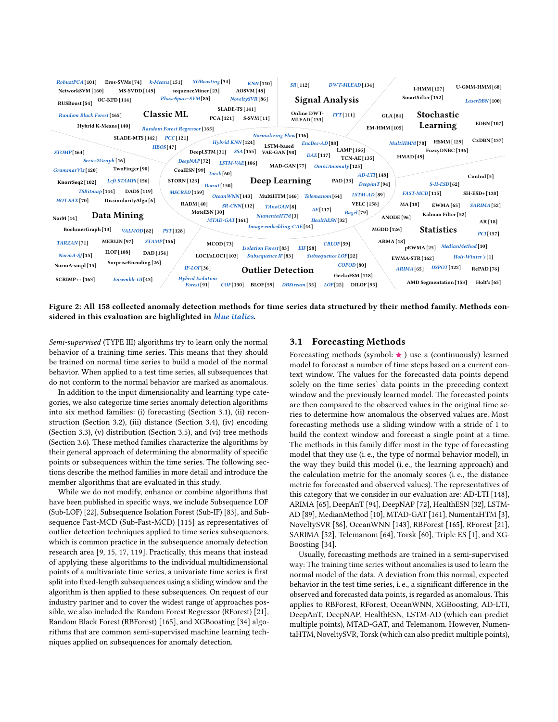<span id="page-3-0"></span>

Figure 2: All 158 collected anomaly detection methods for time series data structured by their method family. Methods considered in this evaluation are highlighted in blue italics.

Semi-supervised (TYPE III) algorithms try to learn only the normal behavior of a training time series. This means that they should be trained on normal time series to build a model of the normal behavior. When applied to a test time series, all subsequences that do not conform to the normal behavior are marked as anomalous.

In addition to the input dimensionality and learning type categories, we also categorize time series anomaly detection algorithms into six method families: (i) forecasting (Section [3.1\)](#page-3-1), (ii) reconstruction (Section [3.2\)](#page-4-1), (iii) distance (Section [3.4\)](#page-5-0), (iv) encoding (Section [3.3\)](#page-4-2), (v) distribution (Section [3.5\)](#page-5-1), and (vi) tree methods (Section [3.6\)](#page-5-2). These method families characterize the algorithms by their general approach of determining the abnormality of specific points or subsequences within the time series. The following sections describe the method families in more detail and introduce the member algorithms that are evaluated in this study.

While we do not modify, enhance or combine algorithms that have been published in specific ways, we include Subsequence LOF (Sub-LOF) [\[22\]](#page-12-7), Subsequence Isolation Forest (Sub-IF) [\[83\]](#page-15-11), and Subsequence Fast-MCD (Sub-Fast-MCD) [\[115\]](#page-16-18) as representatives of outlier detection techniques applied to time series subsequences, which is common practice in the subsequence anomaly detection research area [\[9,](#page-12-21) [15,](#page-12-12) [17,](#page-12-22) [119\]](#page-16-11). Practically, this means that instead of applying these algorithms to the individual multidimensional points of a multivariate time series, a univariate time series is first split into fixed-length subsequences using a sliding window and the algorithm is then applied to these subsequences. On request of our industry partner and to cover the widest range of approaches possible, we also included the Random Forest Regressor (RForest) [\[21\]](#page-12-23), Random Black Forest (RBForest) [\[165\]](#page-18-12), and XGBoosting [\[34\]](#page-13-16) algorithms that are common semi-supervised machine learning techniques applied on subsequences for anomaly detection.

#### <span id="page-3-1"></span>3.1 Forecasting Methods

Forecasting methods (symbol:  $\star$  ) use a (continuously) learned model to forecast a number of time steps based on a current context window. The values for the forecasted data points depend solely on the time series' data points in the preceding context window and the previously learned model. The forecasted points are then compared to the observed values in the original time series to determine how anomalous the observed values are. Most forecasting methods use a sliding window with a stride of 1 to build the context window and forecast a single point at a time. The methods in this family differ most in the type of forecasting model that they use (i. e., the type of normal behavior model), in the way they build this model (i. e., the learning approach) and the calculation metric for the anomaly scores (i. e., the distance metric for forecasted and observed values). The representatives of this category that we consider in our evaluation are: AD-LTI [\[148\]](#page-17-5), ARIMA [\[65\]](#page-14-3), DeepAnT [\[94\]](#page-15-4), DeepNAP [\[72\]](#page-14-6), HealthESN [\[32\]](#page-13-8), LSTM-AD [\[89\]](#page-15-8), MedianMethod [\[10\]](#page-12-19), MTAD-GAT [\[161\]](#page-18-2), NumentaHTM [\[3\]](#page-12-4), NoveltySVR [\[86\]](#page-15-3), OceanWNN [\[143\]](#page-17-6), RBForest [\[165\]](#page-18-12), RForest [\[21\]](#page-12-23), SARIMA [\[52\]](#page-13-19), Telemanom [\[64\]](#page-14-8), Torsk [\[60\]](#page-14-4), Triple ES [\[1\]](#page-12-16), and XG-Boosting [\[34\]](#page-13-16).

Usually, forecasting methods are trained in a semi-supervised way: The training time series without anomalies is used to learn the normal model of the data. A deviation from this normal, expected behavior in the test time series, i. e., a significant difference in the observed and forecasted data points, is regarded as anomalous. This applies to RBForest, RForest, OceanWNN, XGBoosting, AD-LTI, DeepAnT, DeepNAP, HealthESN, LSTM-AD (which can predict multiple points), MTAD-GAT, and Telemanom. However, NumentaHTM, NoveltySVR, Torsk (which can also predict multiple points),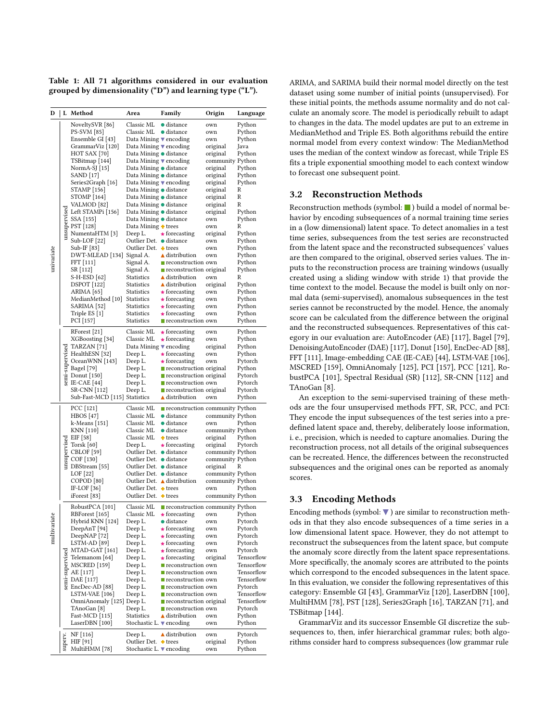<span id="page-4-0"></span>Table 1: All 71 algorithms considered in our evaluation grouped by dimensionality ("D") and learning type ("L").

| D            |              | L Method                                                                                                                     | Area                                                                | Family                                                              | Origin                               | Language                 |
|--------------|--------------|------------------------------------------------------------------------------------------------------------------------------|---------------------------------------------------------------------|---------------------------------------------------------------------|--------------------------------------|--------------------------|
|              |              | NoveltySVR [86]                                                                                                              | Classic ML                                                          | $\bullet$ distance                                                  | own                                  | Python                   |
|              |              | PS-SVM [85]                                                                                                                  | Classic ML                                                          | $\bullet$ distance                                                  | own                                  | Python                   |
|              |              | Ensemble GI [43]                                                                                                             | Data Mining ▼ encoding                                              |                                                                     | own                                  | Python                   |
|              |              | GrammarViz [120]                                                                                                             | Data Mining $\blacktriangledown$ encoding                           |                                                                     | original                             | Java                     |
|              |              | HOT SAX [70]                                                                                                                 | Data Mining ● distance                                              |                                                                     | original                             | Python                   |
|              |              | TSBitmap [144]                                                                                                               | Data Mining $\blacktriangledown$ encoding                           |                                                                     | community Python                     |                          |
|              |              | NormA-SJ $[15]$                                                                                                              | Data Mining ● distance                                              |                                                                     | original                             | Python                   |
|              |              | SAND [17]                                                                                                                    | Data Mining ● distance                                              |                                                                     | original                             | Python                   |
|              |              | Series2Graph [16]<br>STAMP [156]                                                                                             | Data Mining $\blacktriangledown$ encoding<br>Data Mining ● distance |                                                                     | original<br>original                 | Python<br>R              |
|              |              | STOMP [164]                                                                                                                  | Data Mining ● distance                                              |                                                                     | original                             | R                        |
|              |              | VALMOD <sup>[82]</sup>                                                                                                       | Data Mining ● distance                                              |                                                                     | original                             | R                        |
|              | unsupervised | Left STAMPi [156]                                                                                                            | Data Mining ● distance                                              |                                                                     | original                             | Python                   |
|              |              | SSA [155]                                                                                                                    | Data Mining ● distance                                              |                                                                     | own                                  | Python                   |
|              |              | PST[128]                                                                                                                     | Data Mining $\bullet$ trees                                         |                                                                     | own                                  | R                        |
|              |              | NumentaHTM [3]                                                                                                               | Deep L.                                                             | $\star$ forecasting                                                 | original                             | Python                   |
|              |              | $Sub-LOF[22]$                                                                                                                | Outlier Det. ● distance                                             |                                                                     | own                                  | Python                   |
|              |              | Sub-IF [83]                                                                                                                  | Outlier Det. ♦ trees                                                |                                                                     | own                                  | Python                   |
| univariate   |              | DWT-MLEAD [134] Signal A.                                                                                                    |                                                                     | $\triangle$ distribution                                            | own                                  | Python                   |
|              |              | FFT [111]<br>SR [112]                                                                                                        | Signal A.<br>Signal A.                                              | $\blacksquare$ reconstruction own<br><b>reconstruction original</b> |                                      | Python<br>Python         |
|              |              | S-H-ESD [62]                                                                                                                 | Statistics                                                          | $\triangle$ distribution                                            | own                                  | R                        |
|              |              | <b>DSPOT</b> [122]                                                                                                           | Statistics                                                          | $\triangle$ distribution                                            | original                             | Python                   |
|              |              | ARIMA [65]                                                                                                                   | Statistics                                                          | $\star$ forecasting                                                 | own                                  | Python                   |
|              |              | MedianMethod [10] Statistics                                                                                                 |                                                                     | $\star$ forecasting                                                 | own                                  | Python                   |
|              |              | SARIMA <sup>[52]</sup>                                                                                                       | Statistics                                                          | $\star$ forecasting                                                 | own                                  | Python                   |
|              |              | Triple ES [1]                                                                                                                | <b>Statistics</b>                                                   | $\star$ forecasting                                                 | own                                  | Python                   |
|              |              | PCI [157]                                                                                                                    | <b>Statistics</b>                                                   | $\blacksquare$ reconstruction own                                   |                                      | Python                   |
|              |              | RForest [21]                                                                                                                 | Classic ML                                                          | $\star$ forecasting                                                 | own                                  | Python                   |
|              |              | XGBoosting [34]                                                                                                              | Classic ML                                                          | $\star$ forecasting                                                 | own                                  | Python                   |
|              |              |                                                                                                                              | Data Mining $\blacktriangledown$ encoding                           |                                                                     | original                             | Python                   |
|              |              | Participal<br>Sales HealthESN [32]<br>Sales OceanWNN [143]<br>Sales Bagel [79]<br>The Donut [150]<br>Sales IE-CAE [44]       | Deep L.                                                             | $\star$ forecasting                                                 | own                                  | Python                   |
|              |              |                                                                                                                              | Deep L.                                                             | $\star$ forecasting                                                 | own                                  | Pytorch                  |
|              |              |                                                                                                                              | Deep L.                                                             | reconstruction original                                             |                                      | Python                   |
|              |              |                                                                                                                              | Deep L.                                                             | <b>reconstruction original</b><br>■ reconstruction own              |                                      | Pytorch                  |
|              |              | SR-CNN [112]                                                                                                                 | Deep L.<br>Deep L.                                                  | reconstruction original                                             |                                      | Pytorch<br>Pytorch       |
|              |              | Sub-Fast-MCD [115] Statistics                                                                                                |                                                                     | $\triangle$ distribution                                            | own                                  | Python                   |
|              |              | PCC [121]                                                                                                                    | Classic ML                                                          | $\blacksquare$ reconstruction community Python                      |                                      |                          |
|              |              | HBOS [47]                                                                                                                    | Classic ML                                                          | $\bullet$ distance                                                  | community Python                     |                          |
|              |              | k-Means [151]                                                                                                                | Classic ML                                                          | $\bullet$ distance                                                  | own                                  | Python                   |
|              |              | KNN [110]                                                                                                                    | Classic ML                                                          | $\bullet$ distance                                                  | community Python                     |                          |
|              |              | 9 EIF [58]<br>22 Torsk [60]<br>20 CBLOF [59]<br>22 COF [130]<br>33 DBStream [55]                                             | Classic ML                                                          | $+$ trees                                                           | original                             | Python                   |
|              |              |                                                                                                                              | Deep L.                                                             | $\star$ forecasting                                                 | original                             | Pytorch                  |
|              |              |                                                                                                                              | Outlier Det. ● distance                                             |                                                                     | community Python                     |                          |
|              |              |                                                                                                                              | Outlier Det. ● distance                                             |                                                                     | community Python                     |                          |
|              |              |                                                                                                                              | Outlier Det. ● distance                                             |                                                                     | original                             | R                        |
|              |              | LOF [22]<br>COPOD <sup>[80]</sup>                                                                                            | Outlier Det. ● distance                                             | Outlier Det. ▲ distribution                                         | community Python<br>community Python |                          |
|              |              | IF-LOF [36]                                                                                                                  | Outlier Det. + trees                                                |                                                                     | own                                  | Python                   |
|              |              | iForest [83]                                                                                                                 | Outlier Det. + trees                                                |                                                                     | community Python                     |                          |
|              |              | RobustPCA [101]                                                                                                              | Classic ML                                                          | $\blacksquare$ reconstruction community Python                      |                                      |                          |
| $\mathbf{e}$ |              | RBForest [165]                                                                                                               |                                                                     | Classic ML $\star$ forecasting own Python                           |                                      |                          |
|              |              | Hybrid KNN [124]                                                                                                             | Deep L.                                                             | $\bullet$ distance                                                  | own                                  | Pytorch                  |
|              |              | DeepAnT [94]                                                                                                                 | Deep L.                                                             | $\star$ forecasting                                                 | own                                  | Pytorch                  |
| multivaria   |              | DeepNAP [72]                                                                                                                 | Deep L.                                                             | $\star$ forecasting                                                 | own                                  | Pytorch                  |
|              |              | LSTM-AD [89]                                                                                                                 | Deep L.                                                             | $\star$ forecasting                                                 | own                                  | Pytorch                  |
|              |              | $MTAD-GAT [161]$                                                                                                             | Deep L.                                                             | $\star$ forecasting                                                 | own                                  | Pytorch                  |
|              |              |                                                                                                                              | Deep L.                                                             | $\star$ forecasting                                                 | original                             | Tensorflow               |
|              |              |                                                                                                                              | Deep L.                                                             | reconstruction own                                                  |                                      | Tensorflow               |
|              |              | MTAD-GAT [161]<br>SE Telemanom [64]<br>SE MSCRED [159]<br>AE [117]<br>TE DAE [117]<br>SE ENCIDE-AD [88]<br>SE ENCIDE-AD [88] | Deep L.                                                             | ■ reconstruction own                                                |                                      | Tensorflow<br>Tensorflow |
|              |              |                                                                                                                              | Deep L.<br>Deep L.                                                  | <b>reconstruction</b> own<br><b>reconstruction</b> own              |                                      | Pytorch                  |
|              |              | LSTM-VAE [106]                                                                                                               | Deep L.                                                             | <b>reconstruction</b> own                                           |                                      | Tensorflow               |
|              |              | OmniAnomaly [125] Deep L.                                                                                                    |                                                                     | $\blacksquare$ reconstruction original                              |                                      | Tensorflow               |
|              |              | TAnoGan [8]                                                                                                                  | Deep L.                                                             | $\blacksquare$ reconstruction own                                   |                                      | Pytorch                  |
|              |              | Fast-MCD [115]                                                                                                               | <b>Statistics</b>                                                   | ▲ distribution                                                      | own                                  | Python                   |
|              |              | LaserDBN [100]                                                                                                               | Stochastic L. $\blacktriangledown$ encoding                         |                                                                     | own                                  | Python                   |
|              |              | NF [116]                                                                                                                     | Deep L.                                                             | ▲ distribution                                                      | own                                  | Pytorch                  |
|              | superv       | HIF [91]                                                                                                                     | Outlier Det. ♦ trees                                                |                                                                     | original                             | Python                   |
|              |              | MultiHMM [78]                                                                                                                | Stochastic L. $\blacktriangledown$ encoding                         |                                                                     | own                                  | Python                   |

ARIMA, and SARIMA build their normal model directly on the test dataset using some number of initial points (unsupervised). For these initial points, the methods assume normality and do not calculate an anomaly score. The model is periodically rebuilt to adapt to changes in the data. The model updates are put to an extreme in MedianMethod and Triple ES. Both algorithms rebuild the entire normal model from every context window: The MedianMethod uses the median of the context window as forecast, while Triple ES fits a triple exponential smoothing model to each context window to forecast one subsequent point.

#### <span id="page-4-1"></span>3.2 Reconstruction Methods

Reconstruction methods (symbol:  $\blacksquare$ ) build a model of normal behavior by encoding subsequences of a normal training time series in a (low dimensional) latent space. To detect anomalies in a test time series, subsequences from the test series are reconstructed from the latent space and the reconstructed subsequences' values are then compared to the original, observed series values. The inputs to the reconstruction process are training windows (usually created using a sliding window with stride 1) that provide the time context to the model. Because the model is built only on normal data (semi-supervised), anomalous subsequences in the test series cannot be reconstructed by the model. Hence, the anomaly score can be calculated from the difference between the original and the reconstructed subsequences. Representatives of this category in our evaluation are: AutoEncoder (AE) [\[117\]](#page-16-5), Bagel [\[79\]](#page-15-9), DenoisingAutoEncoder (DAE) [\[117\]](#page-16-5), Donut [\[150\]](#page-18-4), EncDec-AD [\[88\]](#page-15-6), FFT [\[111\]](#page-16-15), Image-embedding CAE (IE-CAE) [\[44\]](#page-13-11), LSTM-VAE [\[106\]](#page-16-6), MSCRED [\[159\]](#page-18-3), OmniAnomaly [\[125\]](#page-16-7), PCI [\[157\]](#page-18-16), PCC [\[121\]](#page-16-12), RobustPCA [\[101\]](#page-15-18), Spectral Residual (SR) [\[112\]](#page-16-0), SR-CNN [\[112\]](#page-16-0) and TAnoGan [\[8\]](#page-12-6).

An exception to the semi-supervised training of these methods are the four unsupervised methods FFT, SR, PCC, and PCI: They encode the input subsequences of the test series into a predefined latent space and, thereby, deliberately loose information, i. e., precision, which is needed to capture anomalies. During the reconstruction process, not all details of the original subsequences can be recreated. Hence, the differences between the reconstructed subsequences and the original ones can be reported as anomaly scores.

#### <span id="page-4-2"></span>3.3 Encoding Methods

Encoding methods (symbol:  $\blacktriangledown$  ) are similar to reconstruction methods in that they also encode subsequences of a time series in a low dimensional latent space. However, they do not attempt to reconstruct the subsequences from the latent space, but compute the anomaly score directly from the latent space representations. More specifically, the anomaly scores are attributed to the points which correspond to the encoded subsequences in the latent space. In this evaluation, we consider the following representatives of this category: Ensemble GI [\[43\]](#page-13-14), GrammarViz [\[120\]](#page-16-9), LaserDBN [\[100\]](#page-15-19), MultiHMM [\[78\]](#page-14-16), PST [\[128\]](#page-17-9), Series2Graph [\[16\]](#page-12-10), TARZAN [\[71\]](#page-14-13), and TSBitmap [\[144\]](#page-17-8).

GrammarViz and its successor Ensemble GI discretize the subsequences to, then, infer hierarchical grammar rules; both algorithms consider hard to compress subsequences (low grammar rule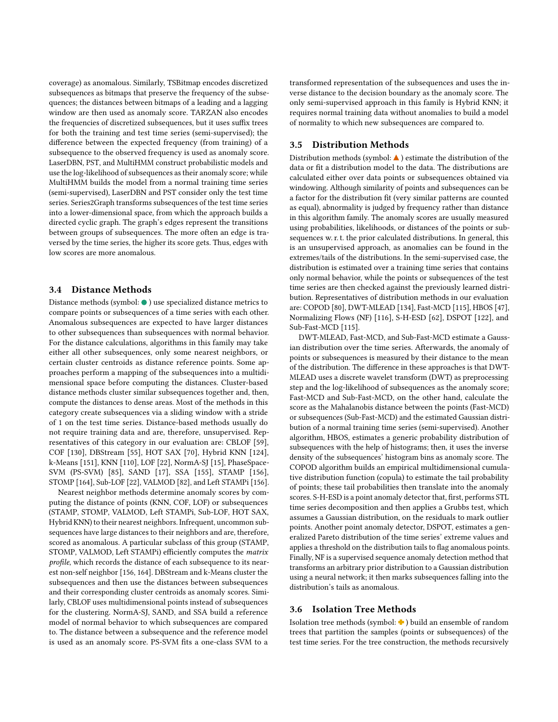coverage) as anomalous. Similarly, TSBitmap encodes discretized subsequences as bitmaps that preserve the frequency of the subsequences; the distances between bitmaps of a leading and a lagging window are then used as anomaly score. TARZAN also encodes the frequencies of discretized subsequences, but it uses suffix trees for both the training and test time series (semi-supervised); the difference between the expected frequency (from training) of a subsequence to the observed frequency is used as anomaly score. LaserDBN, PST, and MultiHMM construct probabilistic models and use the log-likelihood of subsequences as their anomaly score; while MultiHMM builds the model from a normal training time series (semi-supervised), LaserDBN and PST consider only the test time series. Series2Graph transforms subsequences of the test time series into a lower-dimensional space, from which the approach builds a directed cyclic graph. The graph's edges represent the transitions between groups of subsequences. The more often an edge is traversed by the time series, the higher its score gets. Thus, edges with low scores are more anomalous.

### <span id="page-5-0"></span>3.4 Distance Methods

Distance methods (symbol:  $\bullet$  ) use specialized distance metrics to compare points or subsequences of a time series with each other. Anomalous subsequences are expected to have larger distances to other subsequences than subsequences with normal behavior. For the distance calculations, algorithms in this family may take either all other subsequences, only some nearest neighbors, or certain cluster centroids as distance reference points. Some approaches perform a mapping of the subsequences into a multidimensional space before computing the distances. Cluster-based distance methods cluster similar subsequences together and, then, compute the distances to dense areas. Most of the methods in this category create subsequences via a sliding window with a stride of 1 on the test time series. Distance-based methods usually do not require training data and are, therefore, unsupervised. Representatives of this category in our evaluation are: CBLOF [\[59\]](#page-14-10), COF [\[130\]](#page-17-7), DBStream [\[55\]](#page-14-11), HOT SAX [\[70\]](#page-14-2), Hybrid KNN [\[124\]](#page-16-4), k-Means [\[151\]](#page-18-11), KNN [\[110\]](#page-16-13), LOF [\[22\]](#page-12-7), NormA-SJ [\[15\]](#page-12-12), PhaseSpace-SVM (PS-SVM) [\[85\]](#page-15-1), SAND [\[17\]](#page-12-22), SSA [\[155\]](#page-18-5), STAMP [\[156\]](#page-18-7), STOMP [\[164\]](#page-18-6), Sub-LOF [\[22\]](#page-12-7), VALMOD [\[82\]](#page-15-17), and Left STAMPi [\[156\]](#page-18-7).

Nearest neighbor methods determine anomaly scores by computing the distance of points (KNN, COF, LOF) or subsequences (STAMP, STOMP, VALMOD, Left STAMPi, Sub-LOF, HOT SAX, Hybrid KNN) to their nearest neighbors. Infrequent, uncommon subsequences have large distances to their neighbors and are, therefore, scored as anomalous. A particular subclass of this group (STAMP, STOMP, VALMOD, Left STAMPi) efficiently computes the matrix profile, which records the distance of each subsequence to its nearest non-self neighbor [\[156,](#page-18-7) [164\]](#page-18-6). DBStream and k-Means cluster the subsequences and then use the distances between subsequences and their corresponding cluster centroids as anomaly scores. Similarly, CBLOF uses multidimensional points instead of subsequences for the clustering. NormA-SJ, SAND, and SSA build a reference model of normal behavior to which subsequences are compared to. The distance between a subsequence and the reference model is used as an anomaly score. PS-SVM fits a one-class SVM to a

transformed representation of the subsequences and uses the inverse distance to the decision boundary as the anomaly score. The only semi-supervised approach in this family is Hybrid KNN; it requires normal training data without anomalies to build a model of normality to which new subsequences are compared to.

## <span id="page-5-1"></span>3.5 Distribution Methods

Distribution methods (symbol:  $\blacktriangle$  ) estimate the distribution of the data or fit a distribution model to the data. The distributions are calculated either over data points or subsequences obtained via windowing. Although similarity of points and subsequences can be a factor for the distribution fit (very similar patterns are counted as equal), abnormality is judged by frequency rather than distance in this algorithm family. The anomaly scores are usually measured using probabilities, likelihoods, or distances of the points or subsequences w. r. t. the prior calculated distributions. In general, this is an unsupervised approach, as anomalies can be found in the extremes/tails of the distributions. In the semi-supervised case, the distribution is estimated over a training time series that contains only normal behavior, while the points or subsequences of the test time series are then checked against the previously learned distribution. Representatives of distribution methods in our evaluation are: COPOD [\[80\]](#page-15-2), DWT-MLEAD [\[134\]](#page-17-14), Fast-MCD [\[115\]](#page-16-18), HBOS [\[47\]](#page-13-15), Normalizing Flows (NF) [\[116\]](#page-16-2), S-H-ESD [\[62\]](#page-14-18), DSPOT [\[122\]](#page-16-20), and Sub-Fast-MCD [\[115\]](#page-16-18).

DWT-MLEAD, Fast-MCD, and Sub-Fast-MCD estimate a Gaussian distribution over the time series. Afterwards, the anomaly of points or subsequences is measured by their distance to the mean of the distribution. The difference in these approaches is that DWT-MLEAD uses a discrete wavelet transform (DWT) as preprocessing step and the log-likelihood of subsequences as the anomaly score; Fast-MCD and Sub-Fast-MCD, on the other hand, calculate the score as the Mahalanobis distance between the points (Fast-MCD) or subsequences (Sub-Fast-MCD) and the estimated Gaussian distribution of a normal training time series (semi-supervised). Another algorithm, HBOS, estimates a generic probability distribution of subsequences with the help of histograms; then, it uses the inverse density of the subsequences' histogram bins as anomaly score. The COPOD algorithm builds an empirical multidimensional cumulative distribution function (copula) to estimate the tail probability of points; these tail probabilities then translate into the anomaly scores. S-H-ESD is a point anomaly detector that, first, performs STL time series decomposition and then applies a Grubbs test, which assumes a Gaussian distribution, on the residuals to mark outlier points. Another point anomaly detector, DSPOT, estimates a generalized Pareto distribution of the time series' extreme values and applies a threshold on the distribution tails to flag anomalous points. Finally, NF is a supervised sequence anomaly detection method that transforms an arbitrary prior distribution to a Gaussian distribution using a neural network; it then marks subsequences falling into the distribution's tails as anomalous.

### <span id="page-5-2"></span>3.6 Isolation Tree Methods

Isolation tree methods (symbol:  $\blacklozenge$  ) build an ensemble of random trees that partition the samples (points or subsequences) of the test time series. For the tree construction, the methods recursively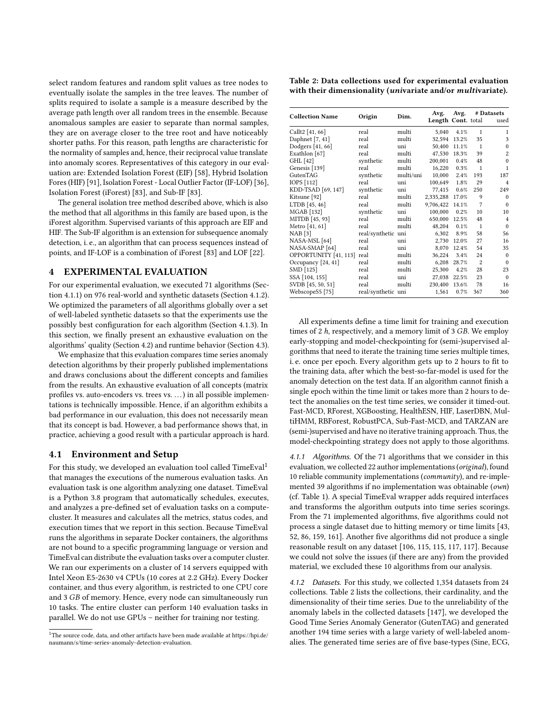select random features and random split values as tree nodes to eventually isolate the samples in the tree leaves. The number of splits required to isolate a sample is a measure described by the average path length over all random trees in the ensemble. Because anomalous samples are easier to separate than normal samples, they are on average closer to the tree root and have noticeably shorter paths. For this reason, path lengths are characteristic for the normality of samples and, hence, their reciprocal value translate into anomaly scores. Representatives of this category in our evaluation are: Extended Isolation Forest (EIF) [\[58\]](#page-14-12), Hybrid Isolation Fores (HIF) [\[91\]](#page-15-13), Isolation Forest - Local Outlier Factor (IF-LOF) [\[36\]](#page-13-13), Isolation Forest (iForest) [\[83\]](#page-15-11), and Sub-IF [\[83\]](#page-15-11).

The general isolation tree method described above, which is also the method that all algorithms in this family are based upon, is the iForest algorithm. Supervised variants of this approach are EIF and HIF. The Sub-IF algorithm is an extension for subsequence anomaly detection, i. e., an algorithm that can process sequences instead of points, and IF-LOF is a combination of iForest [\[83\]](#page-15-11) and LOF [\[22\]](#page-12-7).

#### <span id="page-6-0"></span>4 EXPERIMENTAL EVALUATION

For our experimental evaluation, we executed 71 algorithms (Section [4.1.1\)](#page-6-1) on 976 real-world and synthetic datasets (Section [4.1.2\)](#page-6-2). We optimized the parameters of all algorithms globally over a set of well-labeled synthetic datasets so that the experiments use the possibly best configuration for each algorithm (Section [4.1.3\)](#page-7-1). In this section, we finally present an exhaustive evaluation on the algorithms' quality (Section [4.2\)](#page-7-2) and runtime behavior (Section [4.3\)](#page-11-1).

We emphasize that this evaluation compares time series anomaly detection algorithms by their properly published implementations and draws conclusions about the different concepts and families from the results. An exhaustive evaluation of all concepts (matrix profiles vs. auto-encoders vs. trees vs. . . .) in all possible implementations is technically impossible. Hence, if an algorithm exhibits a bad performance in our evaluation, this does not necessarily mean that its concept is bad. However, a bad performance shows that, in practice, achieving a good result with a particular approach is hard.

#### 4.1 Environment and Setup

For this study, we developed an evaluation tool called TimeEval<sup>[1](#page-6-3)</sup> that manages the executions of the numerous evaluation tasks. An evaluation task is one algorithm analyzing one dataset. TimeEval is a Python 3.8 program that automatically schedules, executes, and analyzes a pre-defined set of evaluation tasks on a computecluster. It measures and calculates all the metrics, status codes, and execution times that we report in this section. Because TimeEval runs the algorithms in separate Docker containers, the algorithms are not bound to a specific programming language or version and TimeEval can distribute the evaluation tasks over a computer cluster. We ran our experiments on a cluster of 14 servers equipped with Intel Xeon E5-2630 v4 CPUs (10 cores at 2.2 GHz). Every Docker container, and thus every algorithm, is restricted to one CPU core and 3 GB of memory. Hence, every node can simultaneously run 10 tasks. The entire cluster can perform 140 evaluation tasks in parallel. We do not use GPUs – neither for training nor testing.

<span id="page-6-4"></span>

| Table 2: Data collections used for experimental evaluation  |  |  |
|-------------------------------------------------------------|--|--|
| with their dimensionality (univariate and/or multivariate). |  |  |

| <b>Collection Name</b>     | Origin             | Dim.      | Avg.<br>Length Cont. total | Avg.         |                | # Datasets<br>used |
|----------------------------|--------------------|-----------|----------------------------|--------------|----------------|--------------------|
| Callt2 [41, 66]            | real               | multi     | 5,040                      | 4.1%         | $\mathbf{1}$   | $\mathbf{1}$       |
| Daphnet [7, 41]            | real               | multi     |                            | 32,594 13.2% | 35             | 3                  |
| Dodgers [41, 66]           | real               | uni       | 50,400                     | 11.1%        | $\mathbf{1}$   | $\mathbf{0}$       |
| Exathlon [67]              | real               | multi     | 47,530                     | 18.3%        | 39             | $\overline{2}$     |
| GHL [42]                   | synthetic          | multi     | 200,001                    | $0.4\%$      | 48             | $\mathbf{0}$       |
| Genesis [139]              | real               | multi     | 16,220                     | 0.3%         | $\mathbf{1}$   | $\mathbf{1}$       |
| GutenTAG                   | synthetic          | multi/uni | 10,000                     | 2.4%         | 193            | 187                |
| IOPS [112]                 | real               | uni       | 100,649                    | 1.8%         | 29             | $\overline{4}$     |
| KDD-TSAD [69, 147]         | synthetic          | uni       | 77,415                     | 0.6%         | 250            | 249                |
| Kitsune [92]               | real               | multi     | 2,335,288                  | 17.0%        | 9              | $\Omega$           |
| LTDB [45, 46]              | real               | multi     | 9,706,422                  | 14.1%        | 7              | $\mathbf{0}$       |
| MGAB [132]                 | synthetic          | uni       | 100,000                    | 0.2%         | 10             | 10                 |
| MITDB [45, 93]             | real               | multi     | 650,000                    | 12.5%        | 48             | $\overline{4}$     |
| Metro [41, 61]             | real               | multi     | 48,204                     | 0.1%         | $\mathbf{1}$   | $\mathbf{0}$       |
| NAB [3]                    | real/synthetic uni |           | 6,302                      | 8.9%         | 58             | 56                 |
| NASA-MSL [64]              | real               | uni       | 2,730                      | 12.0%        | 27             | 16                 |
| NASA-SMAP <sup>[64]</sup>  | real               | uni       | 8.070                      | 12.4%        | 54             | 35                 |
| OPPORTUNITY [41, 113] real |                    | multi     | 36,224                     | 3.4%         | 24             | $\mathbf{0}$       |
| Occupancy [24, 41]         | real               | multi     | 6,208                      | 28.7%        | $\overline{c}$ | $\mathbf{0}$       |
| SMD [125]                  | real               | multi     | 25,300                     | 4.2%         | 28             | 23                 |
| SSA [104, 155]             | real               | uni       |                            | 27,038 22.5% | 23             | $\Omega$           |
| SVDB [45, 50, 51]          | real               | multi     | 230,400 13.6%              |              | 78             | 16                 |
| WebscopeS5 [75]            | real/synthetic uni |           | 1,561                      | 0.7%         | 367            | 360                |

All experiments define a time limit for training and execution times of  $2 h$ , respectively, and a memory limit of  $3 GB$ . We employ early-stopping and model-checkpointing for (semi-)supervised algorithms that need to iterate the training time series multiple times, i. e. once per epoch. Every algorithm gets up to 2 hours to fit to the training data, after which the best-so-far-model is used for the anomaly detection on the test data. If an algorithm cannot finish a single epoch within the time limit or takes more than 2 hours to detect the anomalies on the test time series, we consider it timed-out. Fast-MCD, RForest, XGBoosting, HealthESN, HIF, LaserDBN, MultiHMM, RBForest, RobustPCA, Sub-Fast-MCD, and TARZAN are (semi-)supervised and have no iterative training approach. Thus, the model-checkpointing strategy does not apply to those algorithms.

<span id="page-6-1"></span>4.1.1 Algorithms. Of the 71 algorithms that we consider in this evaluation, we collected 22 author implementations (original), found 10 reliable community implementations (community), and re-implemented 39 algorithms if no implementation was obtainable (own) (cf. Table [1\)](#page-4-0). A special TimeEval wrapper adds required interfaces and transforms the algorithm outputs into time series scorings. From the 71 implemented algorithms, five algorithms could not process a single dataset due to hitting memory or time limits [\[43,](#page-13-14) [52,](#page-13-19) [86,](#page-15-3) [159,](#page-18-3) [161\]](#page-18-2). Another five algorithms did not produce a single reasonable result on any dataset [\[106,](#page-16-6) [115, 115,](#page-16-18) [117, 117\]](#page-16-5). Because we could not solve the issues (if there are any) from the provided material, we excluded these 10 algorithms from our analysis.

<span id="page-6-2"></span>4.1.2 Datasets. For this study, we collected 1,354 datasets from 24 collections. Table [2](#page-6-4) lists the collections, their cardinality, and the dimensionality of their time series. Due to the unreliability of the anomaly labels in the collected datasets [\[147\]](#page-17-1), we developed the Good Time Series Anomaly Generator (GutenTAG) and generated another 194 time series with a large variety of well-labeled anomalies. The generated time series are of five base-types (Sine, ECG,

<span id="page-6-3"></span><sup>&</sup>lt;sup>1</sup>The source code, data, and other artifacts have been made available at [https://hpi.de/](https://hpi.de/naumann/s/time-series-anomaly-detection-evaluation) [naumann/s/time-series-anomaly-detection-evaluation.](https://hpi.de/naumann/s/time-series-anomaly-detection-evaluation)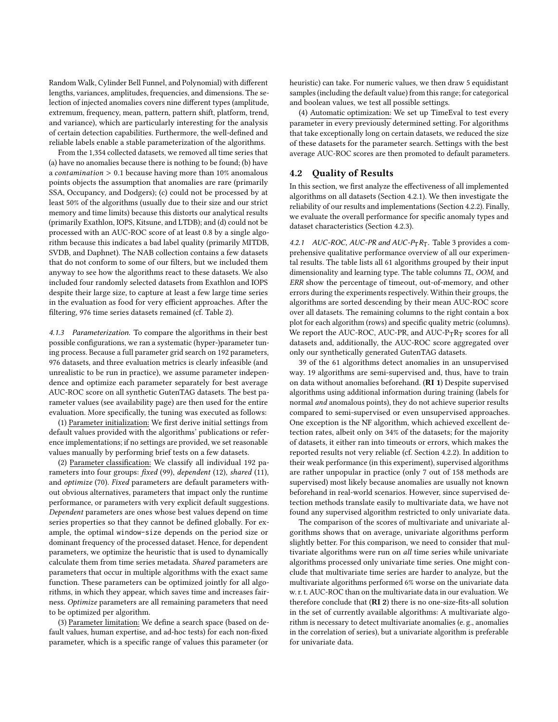Random Walk, Cylinder Bell Funnel, and Polynomial) with different lengths, variances, amplitudes, frequencies, and dimensions. The selection of injected anomalies covers nine different types (amplitude, extremum, frequency, mean, pattern, pattern shift, platform, trend, and variance), which are particularly interesting for the analysis of certain detection capabilities. Furthermore, the well-defined and reliable labels enable a stable parameterization of the algorithms.

From the 1,354 collected datasets, we removed all time series that (a) have no anomalies because there is nothing to be found; (b) have a *contamination*  $> 0.1$  because having more than 10% anomalous points objects the assumption that anomalies are rare (primarily SSA, Occupancy, and Dodgers); (c) could not be processed by at least 50% of the algorithms (usually due to their size and our strict memory and time limits) because this distorts our analytical results (primarily Exathlon, IOPS, Kitsune, and LTDB); and (d) could not be processed with an AUC-ROC score of at least 0.8 by a single algorithm because this indicates a bad label quality (primarily MITDB, SVDB, and Daphnet). The NAB collection contains a few datasets that do not conform to some of our filters, but we included them anyway to see how the algorithms react to these datasets. We also included four randomly selected datasets from Exathlon and IOPS despite their large size, to capture at least a few large time series in the evaluation as food for very efficient approaches. After the filtering, 976 time series datasets remained (cf. Table [2\)](#page-6-4).

<span id="page-7-1"></span>4.1.3 Parameterization. To compare the algorithms in their best possible configurations, we ran a systematic (hyper-)parameter tuning process. Because a full parameter grid search on 192 parameters, 976 datasets, and three evaluation metrics is clearly infeasible (and unrealistic to be run in practice), we assume parameter independence and optimize each parameter separately for best average AUC-ROC score on all synthetic GutenTAG datasets. The best parameter values (see availability page) are then used for the entire evaluation. More specifically, the tuning was executed as follows:

(1) Parameter initialization: We first derive initial settings from default values provided with the algorithms' publications or reference implementations; if no settings are provided, we set reasonable values manually by performing brief tests on a few datasets.

(2) Parameter classification: We classify all individual 192 parameters into four groups: fixed (99), dependent (12), shared (11), and optimize (70). Fixed parameters are default parameters without obvious alternatives, parameters that impact only the runtime performance, or parameters with very explicit default suggestions. Dependent parameters are ones whose best values depend on time series properties so that they cannot be defined globally. For example, the optimal window-size depends on the period size or dominant frequency of the processed dataset. Hence, for dependent parameters, we optimize the heuristic that is used to dynamically calculate them from time series metadata. Shared parameters are parameters that occur in multiple algorithms with the exact same function. These parameters can be optimized jointly for all algorithms, in which they appear, which saves time and increases fairness. Optimize parameters are all remaining parameters that need to be optimized per algorithm.

(3) Parameter limitation: We define a search space (based on default values, human expertise, and ad-hoc tests) for each non-fixed parameter, which is a specific range of values this parameter (or

heuristic) can take. For numeric values, we then draw 5 equidistant samples (including the default value) from this range; for categorical and boolean values, we test all possible settings.

(4) Automatic optimization: We set up TimeEval to test every parameter in every previously determined setting. For algorithms that take exceptionally long on certain datasets, we reduced the size of these datasets for the parameter search. Settings with the best average AUC-ROC scores are then promoted to default parameters.

## <span id="page-7-2"></span>4.2 Quality of Results

In this section, we first analyze the effectiveness of all implemented algorithms on all datasets (Section [4.2.1\)](#page-7-3). We then investigate the reliability of our results and implementations (Section [4.2.2\)](#page-9-0). Finally, we evaluate the overall performance for specific anomaly types and dataset characteristics (Section [4.2.3\)](#page-10-0).

<span id="page-7-3"></span>4.2.1 AUC-ROC, AUC-PR and AUC- $P_T R_T$ . Table [3](#page-8-0) provides a comprehensive qualitative performance overview of all our experimental results. The table lists all 61 algorithms grouped by their input dimensionality and learning type. The table columns TL, OOM, and ERR show the percentage of timeout, out-of-memory, and other errors during the experiments respectively. Within their groups, the algorithms are sorted descending by their mean AUC-ROC score over all datasets. The remaining columns to the right contain a box plot for each algorithm (rows) and specific quality metric (columns). We report the AUC-ROC, AUC-PR, and AUC- $P_T R_T$  scores for all datasets and, additionally, the AUC-ROC score aggregated over only our synthetically generated GutenTAG datasets.

<span id="page-7-0"></span>39 of the 61 algorithms detect anomalies in an unsupervised way. 19 algorithms are semi-supervised and, thus, have to train on data without anomalies beforehand. (RI 1) Despite supervised algorithms using additional information during training (labels for normal and anomalous points), they do not achieve superior results compared to semi-supervised or even unsupervised approaches. One exception is the NF algorithm, which achieved excellent detection rates, albeit only on 34% of the datasets; for the majority of datasets, it either ran into timeouts or errors, which makes the reported results not very reliable (cf. Section [4.2.2\)](#page-9-0). In addition to their weak performance (in this experiment), supervised algorithms are rather unpopular in practice (only 7 out of 158 methods are supervised) most likely because anomalies are usually not known beforehand in real-world scenarios. However, since supervised detection methods translate easily to multivariate data, we have not found any supervised algorithm restricted to only univariate data.

The comparison of the scores of multivariate and univariate algorithms shows that on average, univariate algorithms perform slightly better. For this comparison, we need to consider that multivariate algorithms were run on all time series while univariate algorithms processed only univariate time series. One might conclude that multivariate time series are harder to analyze, but the multivariate algorithms performed 6% worse on the univariate data w. r. t. AUC-ROC than on the multivariate data in our evaluation. We therefore conclude that (RI 2) there is no one-size-fits-all solution in the set of currently available algorithms: A multivariate algorithm is necessary to detect multivariate anomalies (e. g., anomalies in the correlation of series), but a univariate algorithm is preferable for univariate data.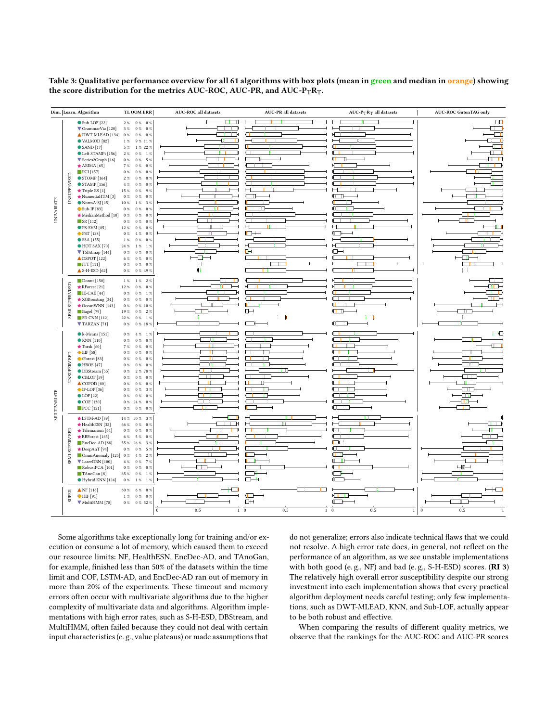<span id="page-8-0"></span>Table 3: Qualitative performance overview for all 61 algorithms with box plots (mean in green and median in orange) showing the score distribution for the metrics AUC-ROC, AUC-PR, and AUC-P $_TR_T$ .

|                   | Dim. Learn. Algorithm                                                                                                                                                                                                                                                                                                                                                                                                                                                                                                                                                                                                              | TL OOM ERR                                                                                                                                                                                                                                                                                                                                                                                                                                                                                                                                                                                                                                                                    | <b>AUC-ROC</b> all datasets                                                    | <b>AUC-PR</b> all datasets                                              | $AUC-PTRT$ all datasets                          | <b>AUC-ROC GutenTAG only</b>                                         |
|-------------------|------------------------------------------------------------------------------------------------------------------------------------------------------------------------------------------------------------------------------------------------------------------------------------------------------------------------------------------------------------------------------------------------------------------------------------------------------------------------------------------------------------------------------------------------------------------------------------------------------------------------------------|-------------------------------------------------------------------------------------------------------------------------------------------------------------------------------------------------------------------------------------------------------------------------------------------------------------------------------------------------------------------------------------------------------------------------------------------------------------------------------------------------------------------------------------------------------------------------------------------------------------------------------------------------------------------------------|--------------------------------------------------------------------------------|-------------------------------------------------------------------------|--------------------------------------------------|----------------------------------------------------------------------|
| <b>UNIVARIATE</b> | $\bullet$ Sub-LOF [22]<br>GrammarViz [120]<br>▲ DWT-MLEAD [134]<br>$\bullet$ VALMOD [82]<br>$\bullet$ SAND [17]<br>Left STAMPi [156]<br>V Series2Graph [16]<br>$\star$ ARIMA [65]<br>$\blacksquare$ PCI [157]<br><b>UNSUPERVISED</b><br>$\bullet$ STOMP [164]<br>$\bullet$ STAMP [156]<br>Triple ES [1]<br>NumentaHTM [3]<br>$\bullet$ NormA-SJ $[15]$<br>$\blacksquare$ Sub-IF [83]<br>MedianMethod [10]<br>$\blacksquare$ SR [112]<br>$\bullet$ PS-SVM [85]<br>PST [128]<br>$\bullet$ SSA [155]<br>$\bullet$ HOT SAX [70]<br>V TSBitmap [144]<br>$\triangle$ DSPOT [122]<br>$\blacksquare$ FFT [111]<br>$\triangle$ S-H-ESD [62] | $2~\%$ $-$ 0 $\%$ $-$ 0 $\%$<br>$3~\%$<br>0 % 0 %<br>$0\%$<br>$0~\%$<br>$0\%$<br>9 % 11 %<br>$1~\%$<br>1 % 22 %<br>5%<br>2%<br>$0\%$<br>1%<br>5 %<br>$0~\%$<br>$0\%$<br>$7~\%$<br>$0~\%$<br>0%<br>$0~\%$<br>$0~\%$<br>$0\%$<br>$2~\%$<br>$0\%$<br>$0\%$<br>$4~\%$<br>$0~\%$<br>$0~\%$<br>9%<br>$15~\%$<br>$0~\%$<br>$0~\%$<br>$0~\%$<br>0%<br>$10~\%$<br>$1~\%$<br>3%<br>$0~\%$<br>$0~\%$<br>0%<br>$0\%$<br>$0\%$<br>0%<br>$0~\%$<br>$0~\%$<br>$0\%$<br>$12~\%$<br>$0~\%$<br>$0\%$<br>$0~\%$<br>$4~\%$<br>$0\%$<br>$1~\%$<br>$0~\%$<br>0%<br>1%<br>24 %<br>$1\%$<br>$0~\%$<br>$0~\%$<br>$0\%$<br>$6~\%$<br>$0~\%$<br>$0\%$<br>$0\%$<br>$0\%$<br>$0\%$<br>$0~\%$<br>$0 \%$ 49% | ⊐<br>Œ<br>−<br>Æ<br>D<br>⊣<br>⊣<br>⊣<br>T.<br>$\Box$<br>⊣<br>$\mathbf{H}$<br>雕 | łТ<br>л<br>нC<br>Ŧ<br>нГ<br>H<br><b>KIND</b><br>н<br>$\Box \vdash$<br>Œ | Ю<br>П<br>Ю<br>T E<br><b>TERR</b><br>Œ<br>$\Box$ | HП<br>ਰ ।<br>Ò<br>Ė<br>Œ<br>ਾ<br>ਾਜ<br>т<br>⊣⊞⊢<br>۳<br>$\mathbf{L}$ |
|                   | $\blacksquare$ Donut [150]<br><b>SEMI-SUPERVISED</b><br>RForest [21]<br>$\blacksquare$ IE-CAE [44]<br>★ XGBoosting [34]<br>★ OceanWNN [143]<br><b>Bagel</b> [79]<br>$S$ R-CNN [112]<br>TARZAN <sup>[71]</sup>                                                                                                                                                                                                                                                                                                                                                                                                                      | $1~\%$<br>$1~\%$<br>$2~\%$<br>$12~\%$<br>$0~\%$<br>$0\%$<br>$0~\%$<br>$0~\%$<br>1%<br>$0~\%$<br>$0\%$<br>$0\%$<br>$0~\%$<br>$0 \% 10 \%$<br>$19~\%$<br>$0~\%$<br>2%<br>$22~\%$<br>$0~\%$<br>1%<br>$0~\%$<br>$0~\%$ 18 $\%$                                                                                                                                                                                                                                                                                                                                                                                                                                                    | ਮ ਤਹਿੰ<br>┱<br>۳<br>÷,<br>┳<br>R                                               | H<br>л<br>$\Box$<br>л<br>$\Box$<br>÷<br><b>CB</b>                       | г<br>П<br>电正正<br>n<br>Ŧ.<br>Ю                    | n 1<br>Œ<br>┯<br>т<br>٠m<br>ŧ                                        |
| MULTIVARIATE      | $\bullet$ k-Means [151]<br>$\bullet$ KNN [110]<br>$\star$ Torsk [60]<br>EIF[58]<br><b>UNSUPERVISED</b><br>iForest [83]<br>$\bullet$ HBOS [47]<br><b>ODBStream</b> [55]<br>$\bullet$ CBLOF [59]<br>$\triangle$ COPOD [80]<br>$\blacksquare$ IF-LOF [36]<br>$\bullet$ LOF [22]<br>$\bullet$ COF [130]<br>$\blacksquare$ PCC [121]                                                                                                                                                                                                                                                                                                    | $0~\%$<br>$4~\%$<br>1%<br>$0~\%$<br>$0~\%$<br>$0\%$<br>$0~\%$<br>$0\%$<br>7%<br>$0~\%$<br>$0~\%$<br>$0~\%$<br>$0~\%$<br>0%<br>$0~\%$<br>$0~\%$<br>$0~\%$<br>$0\%$<br>$0~\%$<br>2 % 78 %<br>$0~\%$<br>$0~\%$<br>0%<br>$0~\%$<br>$0\%$<br>0%<br>$0~\%$<br>$0~\%$<br>3%<br>$0~\%$<br>$0~\%$<br>$0\%$<br>$0~\%$ 24 $\%$<br>$0~\%$<br>$0~\%$<br>$0~\%$<br>$0~\%$                                                                                                                                                                                                                                                                                                                   | T<br>π<br>. .                                                                  | г<br>П<br>г<br>. .<br>г<br>п<br>т<br>Ŧ                                  | г                                                | ਿਸ⊒<br>т<br>-181<br>TF<br><del>∟ स</del><br>-03<br>Œ<br>TH.          |
|                   | $\bigstar$ LSTM-AD [89]<br>HealthESN [32]<br>SEMI-SUPERVISED<br>$\star$ Telemanom [64]<br>RBForest [165]<br>EncDec-AD [88]<br>DeepAnT [94]<br>OmniAnomaly [125] 0 %<br>LaserDBN [100]<br>RobustPCA [101]<br>TAnoGan <sup>[8]</sup><br>Hybrid KNN [124]                                                                                                                                                                                                                                                                                                                                                                             | 14 % 50 %<br>3%<br>66 %<br>0%<br>$0\%$<br>$0~\%$<br>$0\%$<br>$0~\%$<br>$6~\%$<br>$5~\%$<br>$0\%$<br>55 % 26 %<br>3%<br>5 %<br>$0~\%$<br>$0\%$<br>$2~\%$<br>$4~\%$<br>$4~\%$<br>7%<br>$0\%$<br>0%<br>$0~\%$<br>$0\%$<br>65 %<br>$0~\%$<br>1%<br>$0~\%$<br>$1~\%$<br>$1~\%$                                                                                                                                                                                                                                                                                                                                                                                                     | īП<br>Ъ<br>48 1                                                                | . .<br>Л<br>٦<br>п<br>٦.<br>σ<br>$\Box$<br>□⊣                           | ◘<br>łТ<br>œ<br>$\Box$<br>łП<br>┍<br>Œ<br>z.     | эŋ<br>$\overline{\phantom{a}}$                                       |
|                   | $\triangle$ NF [116]<br><b>SUPER</b><br>HIF[91]<br>MultiHMM [78]                                                                                                                                                                                                                                                                                                                                                                                                                                                                                                                                                                   | $60~\%$<br>$6~\%$ $~$ 0 $\%$<br>$1~\%$<br>$0\%$ 0%<br>$0~\%$<br>0 % 52 %                                                                                                                                                                                                                                                                                                                                                                                                                                                                                                                                                                                                      | $\,0\,$<br>0.5<br>$1\quad 0$                                                   | Н□<br>ŒH<br>0.5                                                         | ю<br>Ŧ<br>Г<br>٦<br>$1\quad 0$<br>0.5<br>$1\,$   | $\mathbf{0}$<br>$0.5\,$                                              |

Some algorithms take exceptionally long for training and/or execution or consume a lot of memory, which caused them to exceed our resource limits: NF, HealthESN, EncDec-AD, and TAnoGan, for example, finished less than 50% of the datasets within the time limit and COF, LSTM-AD, and EncDec-AD ran out of memory in more than 20% of the experiments. These timeout and memory errors often occur with multivariate algorithms due to the higher complexity of multivariate data and algorithms. Algorithm implementations with high error rates, such as S-H-ESD, DBStream, and MultiHMM, often failed because they could not deal with certain input characteristics (e. g., value plateaus) or made assumptions that

do not generalize; errors also indicate technical flaws that we could not resolve. A high error rate does, in general, not reflect on the performance of an algorithm, as we see unstable implementations with both good (e. g., NF) and bad (e. g., S-H-ESD) scores. (RI 3) The relatively high overall error susceptibility despite our strong investment into each implementation shows that every practical algorithm deployment needs careful testing; only few implementations, such as DWT-MLEAD, KNN, and Sub-LOF, actually appear to be both robust and effective.

When comparing the results of different quality metrics, we observe that the rankings for the AUC-ROC and AUC-PR scores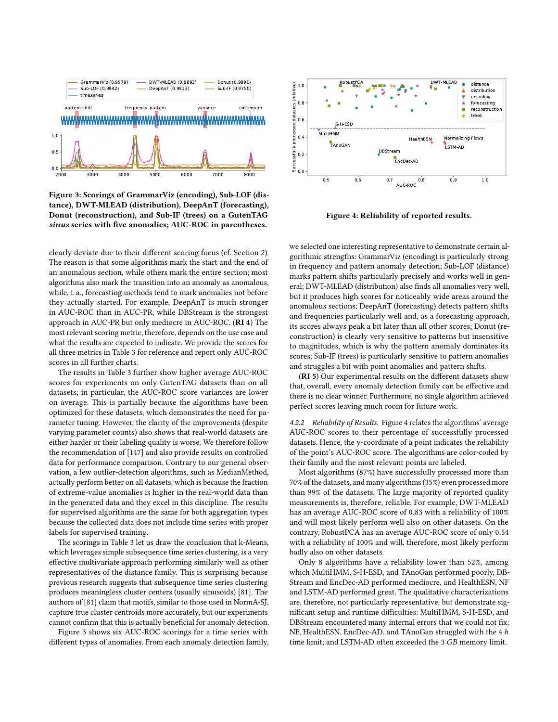<span id="page-9-1"></span>

Figure 3: Scorings of GrammarViz (encoding), Sub-LOF (distance), DWT-MLEAD (distribution), DeepAnT (forecasting), Donut (reconstruction), and Sub-IF (trees) on a GutenTAG sinus series with five anomalies; AUC-ROC in parentheses.

clearly deviate due to their different scoring focus (cf. Section [2\)](#page-1-0). The reason is that some algorithms mark the start and the end of an anomalous section, while others mark the entire section; most algorithms also mark the transition into an anomaly as anomalous, while, i. a., forecasting methods tend to mark anomalies not before they actually started. For example, DeepAnT is much stronger in AUC-ROC than in AUC-PR, while DBStream is the strongest approach in AUC-PR but only mediocre in AUC-ROC. (RI 4) The most relevant scoring metric, therefore, depends on the use case and what the results are expected to indicate. We provide the scores for all three metrics in Table [3](#page-8-0) for reference and report only AUC-ROC scores in all further charts.

The results in Table [3](#page-8-0) further show higher average AUC-ROC scores for experiments on only GutenTAG datasets than on all datasets; in particular, the AUC-ROC score variances are lower on average. This is partially because the algorithms have been optimized for these datasets, which demonstrates the need for parameter tuning. However, the clarity of the improvements (despite varying parameter counts) also shows that real-world datasets are either harder or their labeling quality is worse. We therefore follow the recommendation of [\[147\]](#page-17-1) and also provide results on controlled data for performance comparison. Contrary to our general observation, a few outlier-detection algorithms, such as MedianMethod, actually perform better on all datasets, which is because the fraction of extreme-value anomalies is higher in the real-world data than in the generated data and they excel in this discipline. The results for supervised algorithms are the same for both aggregation types because the collected data does not include time series with proper labels for supervised training.

The scorings in Table [3](#page-8-0) let us draw the conclusion that k-Means, which leverages simple subsequence time series clustering, is a very effective multivariate approach performing similarly well as other representatives of the distance family. This is surprising because previous research suggests that subsequence time series clustering produces meaningless cluster centers (usually sinusoids) [\[81\]](#page-15-25). The authors of [\[81\]](#page-15-25) claim that motifs, similar to those used in NormA-SJ, capture true cluster centroids more accurately, but our experiments cannot confirm that this is actually beneficial for anomaly detection.

Figure [3](#page-9-1) shows six AUC-ROC scorings for a time series with different types of anomalies. From each anomaly detection family,

<span id="page-9-2"></span>

Figure 4: Reliability of reported results.

we selected one interesting representative to demonstrate certain algorithmic strengths: GrammarViz (encoding) is particularly strong in frequency and pattern anomaly detection; Sub-LOF (distance) marks pattern shifts particularly precisely and works well in general; DWT-MLEAD (distribution) also finds all anomalies very well, but it produces high scores for noticeably wide areas around the anomalous sections; DeepAnT (forecasting) detects pattern shifts and frequencies particularly well and, as a forecasting approach, its scores always peak a bit later than all other scores; Donut (reconstruction) is clearly very sensitive to patterns but insensitive to magnitudes, which is why the pattern anomaly dominates its scores; Sub-IF (trees) is particularly sensitive to pattern anomalies and struggles a bit with point anomalies and pattern shifts.

(RI 5) Our experimental results on the different datasets show that, overall, every anomaly detection family can be effective and there is no clear winner. Furthermore, no single algorithm achieved perfect scores leaving much room for future work.

<span id="page-9-0"></span>4.2.2 Reliability of Results. Figure [4](#page-9-2) relates the algorithms' average AUC-ROC scores to their percentage of successfully processed datasets. Hence, the y-coordinate of a point indicates the reliability of the point's AUC-ROC score. The algorithms are color-coded by their family and the most relevant points are labeled.

Most algorithms (87%) have successfully processed more than 70% of the datasets, and many algorithms (35%) even processed more than 99% of the datasets. The large majority of reported quality measurements is, therefore, reliable. For example, DWT-MLEAD has an average AUC-ROC score of 0.83 with a reliability of 100% and will most likely perform well also on other datasets. On the contrary, RobustPCA has an average AUC-ROC score of only 0.54 with a reliability of 100% and will, therefore, most likely perform badly also on other datasets.

Only 8 algorithms have a reliability lower than 52%, among which MultiHMM, S-H-ESD, and TAnoGan performed poorly, DB-Stream and EncDec-AD performed mediocre, and HealthESN, NF and LSTM-AD performed great. The qualitative characterizations are, therefore, not particularly representative, but demonstrate significant setup and runtime difficulties: MultiHMM, S-H-ESD, and DBStream encountered many internal errors that we could not fix; NF, HealthESN, EncDec-AD, and TAnoGan struggled with the 4  $h$ time limit; and LSTM-AD often exceeded the 3 GB memory limit.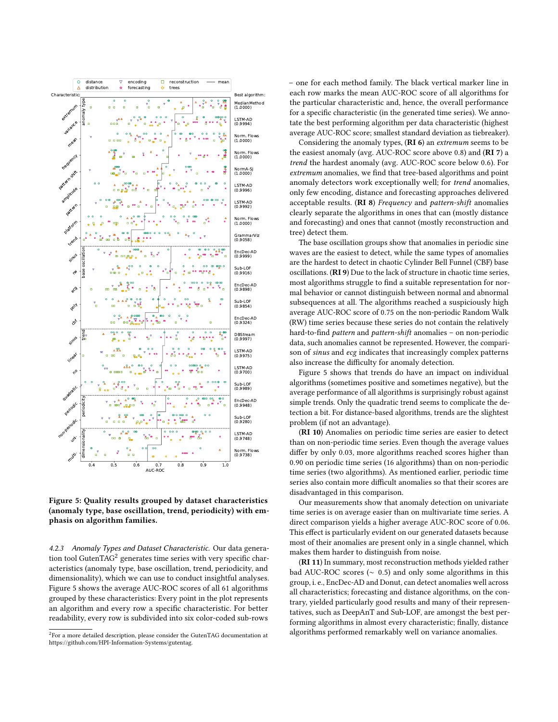<span id="page-10-2"></span>

Figure 5: Quality results grouped by dataset characteristics (anomaly type, base oscillation, trend, periodicity) with emphasis on algorithm families.

<span id="page-10-0"></span>4.2.3 Anomaly Types and Dataset Characteristic. Our data generation tool GutenTA $G<sup>2</sup>$  $G<sup>2</sup>$  $G<sup>2</sup>$  generates time series with very specific characteristics (anomaly type, base oscillation, trend, periodicity, and dimensionality), which we can use to conduct insightful analyses. Figure [5](#page-10-2) shows the average AUC-ROC scores of all 61 algorithms grouped by these characteristics: Every point in the plot represents an algorithm and every row a specific characteristic. For better readability, every row is subdivided into six color-coded sub-rows

– one for each method family. The black vertical marker line in each row marks the mean AUC-ROC score of all algorithms for the particular characteristic and, hence, the overall performance for a specific characteristic (in the generated time series). We annotate the best performing algorithm per data characteristic (highest average AUC-ROC score; smallest standard deviation as tiebreaker).

Considering the anomaly types, (RI 6) an extremum seems to be the easiest anomaly (avg. AUC-ROC score above 0.8) and (RI 7) a trend the hardest anomaly (avg. AUC-ROC score below 0.6). For extremum anomalies, we find that tree-based algorithms and point anomaly detectors work exceptionally well; for trend anomalies, only few encoding, distance and forecasting approaches delivered acceptable results.  $(RI 8)$  Frequency and pattern-shift anomalies clearly separate the algorithms in ones that can (mostly distance and forecasting) and ones that cannot (mostly reconstruction and tree) detect them.

The base oscillation groups show that anomalies in periodic sine waves are the easiest to detect, while the same types of anomalies are the hardest to detect in chaotic Cylinder Bell Funnel (CBF) base oscillations. (RI 9) Due to the lack of structure in chaotic time series, most algorithms struggle to find a suitable representation for normal behavior or cannot distinguish between normal and abnormal subsequences at all. The algorithms reached a suspiciously high average AUC-ROC score of 0.75 on the non-periodic Random Walk (RW) time series because these series do not contain the relatively hard-to-find pattern and pattern-shift anomalies – on non-periodic data, such anomalies cannot be represented. However, the comparison of sinus and ecg indicates that increasingly complex patterns also increase the difficulty for anomaly detection.

Figure [5](#page-10-2) shows that trends do have an impact on individual algorithms (sometimes positive and sometimes negative), but the average performance of all algorithms is surprisingly robust against simple trends. Only the quadratic trend seems to complicate the detection a bit. For distance-based algorithms, trends are the slightest problem (if not an advantage).

(RI 10) Anomalies on periodic time series are easier to detect than on non-periodic time series. Even though the average values differ by only 0.03, more algorithms reached scores higher than 0.90 on periodic time series (16 algorithms) than on non-periodic time series (two algorithms). As mentioned earlier, periodic time series also contain more difficult anomalies so that their scores are disadvantaged in this comparison.

Our measurements show that anomaly detection on univariate time series is on average easier than on multivariate time series. A direct comparison yields a higher average AUC-ROC score of 0.06. This effect is particularly evident on our generated datasets because most of their anomalies are present only in a single channel, which makes them harder to distinguish from noise.

(RI 11) In summary, most reconstruction methods yielded rather bad AUC-ROC scores ( $\sim$  0.5) and only some algorithms in this group, i. e., EncDec-AD and Donut, can detect anomalies well across all characteristics; forecasting and distance algorithms, on the contrary, yielded particularly good results and many of their representatives, such as DeepAnT and Sub-LOF, are amongst the best performing algorithms in almost every characteristic; finally, distance algorithms performed remarkably well on variance anomalies.

<span id="page-10-1"></span> $^{2}$ For a more detailed description, please consider the GutenTAG documentation at [https://github.com/HPI-Information-Systems/gutentag.](https://github.com/HPI-Information-Systems/gutentag)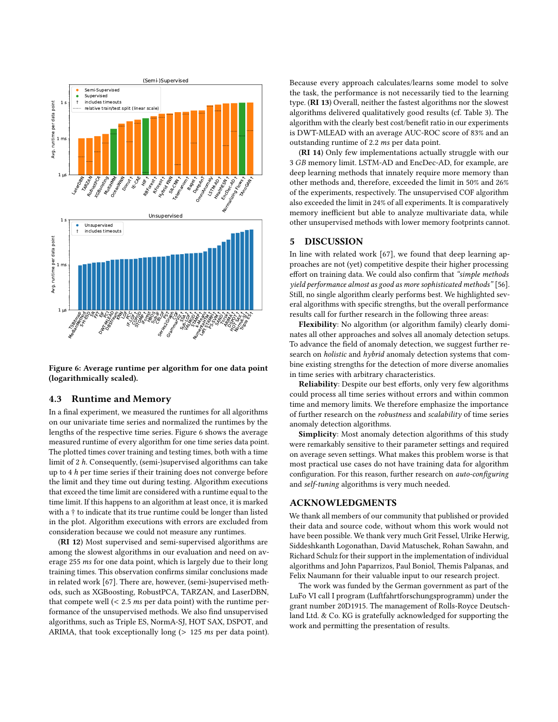<span id="page-11-2"></span>

Figure 6: Average runtime per algorithm for one data point (logarithmically scaled).

#### <span id="page-11-1"></span>4.3 Runtime and Memory

In a final experiment, we measured the runtimes for all algorithms on our univariate time series and normalized the runtimes by the lengths of the respective time series. Figure [6](#page-11-2) shows the average measured runtime of every algorithm for one time series data point. The plotted times cover training and testing times, both with a time limit of 2 ℎ. Consequently, (semi-)supervised algorithms can take up to 4 *h* per time series if their training does not converge before the limit and they time out during testing. Algorithm executions that exceed the time limit are considered with a runtime equal to the time limit. If this happens to an algorithm at least once, it is marked with a † to indicate that its true runtime could be longer than listed in the plot. Algorithm executions with errors are excluded from consideration because we could not measure any runtimes.

(RI 12) Most supervised and semi-supervised algorithms are among the slowest algorithms in our evaluation and need on average 255 ms for one data point, which is largely due to their long training times. This observation confirms similar conclusions made in related work [\[67\]](#page-14-21). There are, however, (semi-)supervised methods, such as XGBoosting, RobustPCA, TARZAN, and LaserDBN, that compete well  $\left($  < 2.5 *ms* per data point) with the runtime performance of the unsupervised methods. We also find unsupervised algorithms, such as Triple ES, NormA-SJ, HOT SAX, DSPOT, and ARIMA, that took exceptionally long ( $> 125$  ms per data point).

Because every approach calculates/learns some model to solve the task, the performance is not necessarily tied to the learning type. (RI 13) Overall, neither the fastest algorithms nor the slowest algorithms delivered qualitatively good results (cf. Table [3\)](#page-8-0). The algorithm with the clearly best cost/benefit ratio in our experiments is DWT-MLEAD with an average AUC-ROC score of 83% and an outstanding runtime of  $2.2$  ms per data point.

<span id="page-11-0"></span>(RI 14) Only few implementations actually struggle with our 3 GB memory limit. LSTM-AD and EncDec-AD, for example, are deep learning methods that innately require more memory than other methods and, therefore, exceeded the limit in 50% and 26% of the experiments, respectively. The unsupervised COF algorithm also exceeded the limit in 24% of all experiments. It is comparatively memory inefficient but able to analyze multivariate data, while other unsupervised methods with lower memory footprints cannot.

## 5 DISCUSSION

In line with related work [\[67\]](#page-14-21), we found that deep learning approaches are not (yet) competitive despite their higher processing effort on training data. We could also confirm that "simple methods yield performance almost as good as more sophisticated methods" [\[56\]](#page-14-25). Still, no single algorithm clearly performs best. We highlighted several algorithms with specific strengths, but the overall performance results call for further research in the following three areas:

Flexibility: No algorithm (or algorithm family) clearly dominates all other approaches and solves all anomaly detection setups. To advance the field of anomaly detection, we suggest further research on *holistic* and *hybrid* anomaly detection systems that combine existing strengths for the detection of more diverse anomalies in time series with arbitrary characteristics.

Reliability: Despite our best efforts, only very few algorithms could process all time series without errors and within common time and memory limits. We therefore emphasize the importance of further research on the robustness and scalability of time series anomaly detection algorithms.

Simplicity: Most anomaly detection algorithms of this study were remarkably sensitive to their parameter settings and required on average seven settings. What makes this problem worse is that most practical use cases do not have training data for algorithm configuration. For this reason, further research on auto-configuring and self-tuning algorithms is very much needed.

## ACKNOWLEDGMENTS

We thank all members of our community that published or provided their data and source code, without whom this work would not have been possible. We thank very much Grit Fessel, Ulrike Herwig, Siddeshkanth Logonathan, David Matuschek, Rohan Sawahn, and Richard Schulz for their support in the implementation of individual algorithms and John Paparrizos, Paul Boniol, Themis Palpanas, and Felix Naumann for their valuable input to our research project.

The work was funded by the German government as part of the LuFo VI call I program (Luftfahrtforschungsprogramm) under the grant number 20D1915. The management of Rolls-Royce Deutschland Ltd. & Co. KG is gratefully acknowledged for supporting the work and permitting the presentation of results.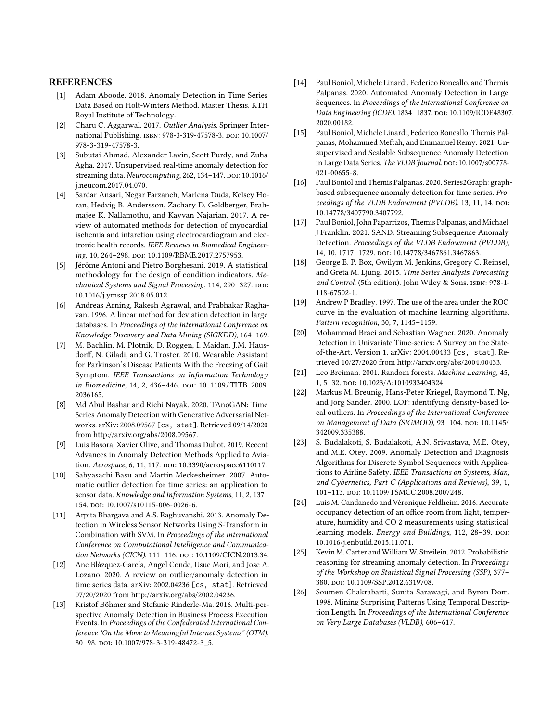#### REFERENCES

- <span id="page-12-16"></span>[1] Adam Aboode. 2018. Anomaly Detection in Time Series Data Based on Holt-Winters Method. Master Thesis. KTH Royal Institute of Technology.
- <span id="page-12-3"></span>[2] Charu C. Aggarwal. 2017. Outlier Analysis. Springer Inter-national Publishing. ISBN: 978-3-319-47578-3. DOI: [10.1007/](https://doi.org/10.1007/978-3-319-47578-3) [978-3-319-47578-3.](https://doi.org/10.1007/978-3-319-47578-3)
- <span id="page-12-4"></span>[3] Subutai Ahmad, Alexander Lavin, Scott Purdy, and Zuha Agha. 2017. Unsupervised real-time anomaly detection for streaming data. Neurocomputing, 262, 134-147. DOI: [10.1016/](https://doi.org/10.1016/j.neucom.2017.04.070) [j.neucom.2017.04.070.](https://doi.org/10.1016/j.neucom.2017.04.070)
- <span id="page-12-0"></span>[4] Sardar Ansari, Negar Farzaneh, Marlena Duda, Kelsey Horan, Hedvig B. Andersson, Zachary D. Goldberger, Brahmajee K. Nallamothu, and Kayvan Najarian. 2017. A review of automated methods for detection of myocardial ischemia and infarction using electrocardiogram and electronic health records. IEEE Reviews in Biomedical Engineer-ing, 10, 264-298. poi: [10.1109/RBME.2017.2757953.](https://doi.org/10.1109/RBME.2017.2757953)
- <span id="page-12-20"></span>[5] Jérôme Antoni and Pietro Borghesani. 2019. A statistical methodology for the design of condition indicators. Mechanical Systems and Signal Processing, 114, 290-327. DOI: [10.1016/j.ymssp.2018.05.012.](https://doi.org/10.1016/j.ymssp.2018.05.012)
- <span id="page-12-9"></span>[6] Andreas Arning, Rakesh Agrawal, and Prabhakar Raghavan. 1996. A linear method for deviation detection in large databases. In Proceedings of the International Conference on Knowledge Discovery and Data Mining (SIGKDD), 164–169.
- <span id="page-12-24"></span>[7] M. Bachlin, M. Plotnik, D. Roggen, I. Maidan, J.M. Hausdorff, N. Giladi, and G. Troster. 2010. Wearable Assistant for Parkinson's Disease Patients With the Freezing of Gait Symptom. IEEE Transactions on Information Technology in Biomedicine, 14, 2, 436-446. DOI: 10.1109/TITB.2009. [2036165.](https://doi.org/10.1109/TITB.2009.2036165)
- <span id="page-12-6"></span>[8] Md Abul Bashar and Richi Nayak. 2020. TAnoGAN: Time Series Anomaly Detection with Generative Adversarial Networks. arXiv: 2008.09567 [\[cs, stat\]](https://arxiv.org/abs/2008.09567). Retrieved 09/14/2020 from [http://arxiv.org/abs/2008.09567.](http://arxiv.org/abs/2008.09567)
- <span id="page-12-21"></span>[9] Luis Basora, Xavier Olive, and Thomas Dubot. 2019. Recent Advances in Anomaly Detection Methods Applied to Avia-tion. Aerospace, 6, 11, 117. DOI: [10.3390/aerospace6110117.](https://doi.org/10.3390/aerospace6110117)
- <span id="page-12-19"></span>[10] Sabyasachi Basu and Martin Meckesheimer. 2007. Automatic outlier detection for time series: an application to sensor data. Knowledge and Information Systems, 11, 2, 137– 154. doi: [10.1007/s10115-006-0026-6.](https://doi.org/10.1007/s10115-006-0026-6)
- <span id="page-12-15"></span>[11] Arpita Bhargava and A.S. Raghuvanshi. 2013. Anomaly Detection in Wireless Sensor Networks Using S-Transform in Combination with SVM. In Proceedings of the International Conference on Computational Intelligence and Communica-tion Networks (CICN), 111-116. DOI: [10.1109/CICN.2013.34.](https://doi.org/10.1109/CICN.2013.34)
- <span id="page-12-1"></span>[12] Ane Blázquez-García, Angel Conde, Usue Mori, and Jose A. Lozano. 2020. A review on outlier/anomaly detection in time series data. arXiv: 2002.04236 [\[cs, stat\]](https://arxiv.org/abs/2002.04236). Retrieved 07/20/2020 from [http://arxiv.org/abs/2002.04236.](http://arxiv.org/abs/2002.04236)
- <span id="page-12-11"></span>[13] Kristof Böhmer and Stefanie Rinderle-Ma. 2016. Multi-perspective Anomaly Detection in Business Process Execution Events. In Proceedings of the Confederated International Conference "On the Move to Meaningful Internet Systems" (OTM), 80-98. doi: [10.1007/978-3-319-48472-3\\_5.](https://doi.org/10.1007/978-3-319-48472-3_5)
- <span id="page-12-8"></span>[14] Paul Boniol, Michele Linardi, Federico Roncallo, and Themis Palpanas. 2020. Automated Anomaly Detection in Large Sequences. In Proceedings of the International Conference on Data Engineering (ICDE), 1834-1837. DOI: [10.1109/ICDE48307](https://doi.org/10.1109/ICDE48307.2020.00182). [2020.00182.](https://doi.org/10.1109/ICDE48307.2020.00182)
- <span id="page-12-12"></span>[15] Paul Boniol, Michele Linardi, Federico Roncallo, Themis Palpanas, Mohammed Meftah, and Emmanuel Remy. 2021. Unsupervised and Scalable Subsequence Anomaly Detection in Large Data Series. The VLDB Journal. DOI: [10.1007/s00778-](https://doi.org/10.1007/s00778-021-00655-8) [021-00655-8.](https://doi.org/10.1007/s00778-021-00655-8)
- <span id="page-12-10"></span>[16] Paul Boniol and Themis Palpanas. 2020. Series2Graph: graphbased subsequence anomaly detection for time series. Proceedings of the VLDB Endowment (PVLDB), 13, 11, 14. DOI: [10.14778/3407790.3407792.](https://doi.org/10.14778/3407790.3407792)
- <span id="page-12-22"></span>[17] Paul Boniol, John Paparrizos, Themis Palpanas, and Michael J Franklin. 2021. SAND: Streaming Subsequence Anomaly Detection. Proceedings of the VLDB Endowment (PVLDB), 14, 10, 1717–1729. doi: [10.14778/3467861.3467863.](https://doi.org/10.14778/3467861.3467863)
- <span id="page-12-18"></span>[18] George E. P. Box, Gwilym M. Jenkins, Gregory C. Reinsel, and Greta M. Ljung. 2015. Time Series Analysis: Forecasting and Control. (5th edition). John Wiley & Sons. isbn: 978-1- 118-67502-1.
- <span id="page-12-5"></span>[19] Andrew P Bradley. 1997. The use of the area under the ROC curve in the evaluation of machine learning algorithms. Pattern recognition, 30, 7, 1145–1159.
- <span id="page-12-2"></span>[20] Mohammad Braei and Sebastian Wagner. 2020. Anomaly Detection in Univariate Time-series: A Survey on the Stateof-the-Art. Version 1. arXiv: 2004.00433 [\[cs, stat\]](https://arxiv.org/abs/2004.00433). Retrieved 10/27/2020 from [http://arxiv.org/abs/2004.00433.](http://arxiv.org/abs/2004.00433)
- <span id="page-12-23"></span>[21] Leo Breiman. 2001. Random forests. Machine Learning, 45, 1, 5–32. doi: [10.1023/A:1010933404324.](https://doi.org/10.1023/A:1010933404324)
- <span id="page-12-7"></span>[22] Markus M. Breunig, Hans-Peter Kriegel, Raymond T. Ng, and Jörg Sander. 2000. LOF: identifying density-based local outliers. In Proceedings of the International Conference on Management of Data (SIGMOD), 93-104. DOI: [10.1145/](https://doi.org/10.1145/342009.335388) [342009.335388.](https://doi.org/10.1145/342009.335388)
- <span id="page-12-14"></span>[23] S. Budalakoti, S. Budalakoti, A.N. Srivastava, M.E. Otey, and M.E. Otey. 2009. Anomaly Detection and Diagnosis Algorithms for Discrete Symbol Sequences with Applications to Airline Safety. IEEE Transactions on Systems, Man, and Cybernetics, Part C (Applications and Reviews), 39, 1, 101–113. doi: [10.1109/TSMCC.2008.2007248.](https://doi.org/10.1109/TSMCC.2008.2007248)
- <span id="page-12-25"></span>[24] Luis M. Candanedo and Véronique Feldheim. 2016. Accurate occupancy detection of an office room from light, temperature, humidity and CO 2 measurements using statistical learning models. Energy and Buildings, 112, 28-39. DOI: [10.1016/j.enbuild.2015.11.071.](https://doi.org/10.1016/j.enbuild.2015.11.071)
- <span id="page-12-17"></span>[25] Kevin M. Carter and William W. Streilein. 2012. Probabilistic reasoning for streaming anomaly detection. In Proceedings of the Workshop on Statistical Signal Processing (SSP), 377– 380. doi: [10.1109/SSP.2012.6319708.](https://doi.org/10.1109/SSP.2012.6319708)
- <span id="page-12-13"></span>[26] Soumen Chakrabarti, Sunita Sarawagi, and Byron Dom. 1998. Mining Surprising Patterns Using Temporal Description Length. In Proceedings of the International Conference on Very Large Databases (VLDB), 606–617.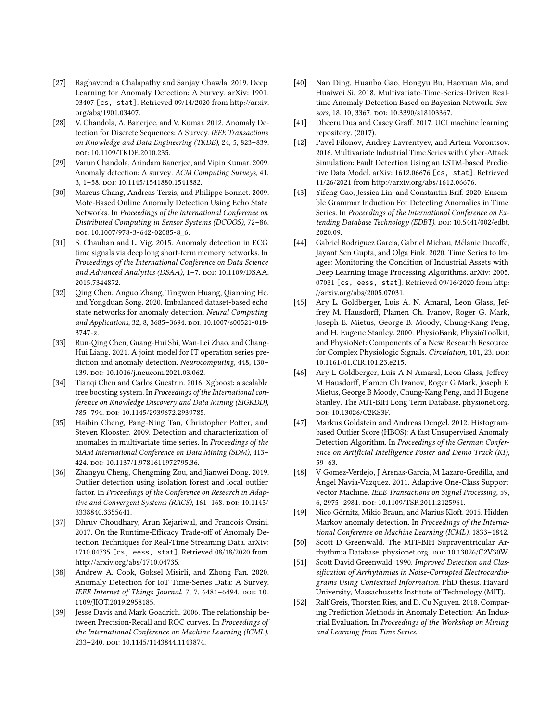- <span id="page-13-1"></span>[27] Raghavendra Chalapathy and Sanjay Chawla. 2019. Deep Learning for Anomaly Detection: A Survey. arXiv: [1901.](https://arxiv.org/abs/1901.03407) 03407 [\[cs, stat\]](https://arxiv.org/abs/1901.03407). Retrieved 09/14/2020 from [http://arxiv.](http://arxiv.org/abs/1901.03407) [org/abs/1901.03407.](http://arxiv.org/abs/1901.03407)
- <span id="page-13-2"></span>[28] V. Chandola, A. Banerjee, and V. Kumar. 2012. Anomaly Detection for Discrete Sequences: A Survey. IEEE Transactions on Knowledge and Data Engineering (TKDE), 24, 5, 823–839. doi: [10.1109/TKDE.2010.235.](https://doi.org/10.1109/TKDE.2010.235)
- <span id="page-13-3"></span>[29] Varun Chandola, Arindam Banerjee, and Vipin Kumar. 2009. Anomaly detection: A survey. ACM Computing Surveys, 41, 3, 1–58. doi: [10.1145/1541880.1541882.](https://doi.org/10.1145/1541880.1541882)
- <span id="page-13-9"></span>[30] Marcus Chang, Andreas Terzis, and Philippe Bonnet. 2009. Mote-Based Online Anomaly Detection Using Echo State Networks. In Proceedings of the International Conference on Distributed Computing in Sensor Systems (DCOOS), 72–86. doi: [10.1007/978-3-642-02085-8\\_6.](https://doi.org/10.1007/978-3-642-02085-8_6)
- <span id="page-13-6"></span>[31] S. Chauhan and L. Vig. 2015. Anomaly detection in ECG time signals via deep long short-term memory networks. In Proceedings of the International Conference on Data Science and Advanced Analytics (DSAA), 1-7. DOI: [10.1109/DSAA.](https://doi.org/10.1109/DSAA.2015.7344872) [2015.7344872.](https://doi.org/10.1109/DSAA.2015.7344872)
- <span id="page-13-8"></span>[32] Qing Chen, Anguo Zhang, Tingwen Huang, Qianping He, and Yongduan Song. 2020. Imbalanced dataset-based echo state networks for anomaly detection. Neural Computing and Applications, 32, 8, 3685-3694. DOI: [10.1007/s00521-018-](https://doi.org/10.1007/s00521-018-3747-z) [3747-z.](https://doi.org/10.1007/s00521-018-3747-z)
- <span id="page-13-12"></span>[33] Run-Qing Chen, Guang-Hui Shi, Wan-Lei Zhao, and Chang-Hui Liang. 2021. A joint model for IT operation series prediction and anomaly detection. Neurocomputing, 448, 130– 139. doi: [10.1016/j.neucom.2021.03.062.](https://doi.org/10.1016/j.neucom.2021.03.062)
- <span id="page-13-16"></span>[34] Tianqi Chen and Carlos Guestrin. 2016. Xgboost: a scalable tree boosting system. In Proceedings of the International conference on Knowledge Discovery and Data Mining (SIGKDD), 785-794. doi: [10.1145/2939672.2939785.](https://doi.org/10.1145/2939672.2939785)
- <span id="page-13-0"></span>[35] Haibin Cheng, Pang-Ning Tan, Christopher Potter, and Steven Klooster. 2009. Detection and characterization of anomalies in multivariate time series. In Proceedings of the SIAM International Conference on Data Mining (SDM), 413– 424. doi: [10.1137/1.9781611972795.36.](https://doi.org/10.1137/1.9781611972795.36)
- <span id="page-13-13"></span>[36] Zhangyu Cheng, Chengming Zou, and Jianwei Dong. 2019. Outlier detection using isolation forest and local outlier factor. In Proceedings of the Conference on Research in Adap-tive and Convergent Systems (RACS), 161-168. DOI: [10.1145/](https://doi.org/10.1145/3338840.3355641) [3338840.3355641.](https://doi.org/10.1145/3338840.3355641)
- <span id="page-13-4"></span>[37] Dhruv Choudhary, Arun Kejariwal, and Francois Orsini. 2017. On the Runtime-Efficacy Trade-off of Anomaly Detection Techniques for Real-Time Streaming Data. arXiv: 1710.04735 [\[cs, eess, stat\]](https://arxiv.org/abs/1710.04735). Retrieved 08/18/2020 from [http://arxiv.org/abs/1710.04735.](http://arxiv.org/abs/1710.04735)
- <span id="page-13-5"></span>[38] Andrew A. Cook, Goksel Misirli, and Zhong Fan. 2020. Anomaly Detection for IoT Time-Series Data: A Survey. IEEE Internet of Things Journal, 7, 7, 6481-6494. DOI: [10.](https://doi.org/10.1109/JIOT.2019.2958185) [1109/JIOT.2019.2958185.](https://doi.org/10.1109/JIOT.2019.2958185)
- <span id="page-13-7"></span>[39] Jesse Davis and Mark Goadrich. 2006. The relationship between Precision-Recall and ROC curves. In Proceedings of the International Conference on Machine Learning (ICML), 233-240. doi: [10.1145/1143844.1143874.](https://doi.org/10.1145/1143844.1143874)
- <span id="page-13-10"></span>[40] Nan Ding, Huanbo Gao, Hongyu Bu, Haoxuan Ma, and Huaiwei Si. 2018. Multivariate-Time-Series-Driven Realtime Anomaly Detection Based on Bayesian Network. Sen-sors, 18, 10, 3367. DOI: [10.3390/s18103367.](https://doi.org/10.3390/s18103367)
- <span id="page-13-20"></span>[41] Dheeru Dua and Casey Graff. 2017. UCI machine learning repository. (2017).
- <span id="page-13-21"></span>[42] Pavel Filonov, Andrey Lavrentyev, and Artem Vorontsov. 2016. Multivariate Industrial Time Series with Cyber-Attack Simulation: Fault Detection Using an LSTM-based Predictive Data Model. arXiv: 1612.06676 [\[cs, stat\]](https://arxiv.org/abs/1612.06676). Retrieved 11/26/2021 from [http://arxiv.org/abs/1612.06676.](http://arxiv.org/abs/1612.06676)
- <span id="page-13-14"></span>[43] Yifeng Gao, Jessica Lin, and Constantin Brif. 2020. Ensemble Grammar Induction For Detecting Anomalies in Time Series. In Proceedings of the International Conference on Ex-tending Database Technology (EDBT). DOI: [10.5441/002/edbt.](https://doi.org/10.5441/002/edbt.2020.09) [2020.09.](https://doi.org/10.5441/002/edbt.2020.09)
- <span id="page-13-11"></span>[44] Gabriel Rodriguez Garcia, Gabriel Michau, Mélanie Ducoffe, Jayant Sen Gupta, and Olga Fink. 2020. Time Series to Images: Monitoring the Condition of Industrial Assets with Deep Learning Image Processing Algorithms. arXiv: [2005.](https://arxiv.org/abs/2005.07031) 07031 [\[cs, eess, stat\]](https://arxiv.org/abs/2005.07031). Retrieved 09/16/2020 from [http:](http://arxiv.org/abs/2005.07031) [//arxiv.org/abs/2005.07031.](http://arxiv.org/abs/2005.07031)
- <span id="page-13-22"></span>[45] Ary L. Goldberger, Luis A. N. Amaral, Leon Glass, Jeffrey M. Hausdorff, Plamen Ch. Ivanov, Roger G. Mark, Joseph E. Mietus, George B. Moody, Chung-Kang Peng, and H. Eugene Stanley. 2000. PhysioBank, PhysioToolkit, and PhysioNet: Components of a New Research Resource for Complex Physiologic Signals. Circulation, 101, 23. DOI: [10.1161/01.CIR.101.23.e215.](https://doi.org/10.1161/01.CIR.101.23.e215)
- <span id="page-13-23"></span>[46] Ary L Goldberger, Luis A N Amaral, Leon Glass, Jeffrey M Hausdorff, Plamen Ch Ivanov, Roger G Mark, Joseph E Mietus, George B Moody, Chung-Kang Peng, and H Eugene Stanley. The MIT-BIH Long Term Database. physionet.org. doi: [10.13026/C2KS3F.](https://doi.org/10.13026/C2KS3F)
- <span id="page-13-15"></span>[47] Markus Goldstein and Andreas Dengel. 2012. Histogrambased Outlier Score (HBOS): A fast Unsupervised Anomaly Detection Algorithm. In Proceedings of the German Conference on Artificial Intelligence Poster and Demo Track (KI), 59–63.
- <span id="page-13-17"></span>[48] V Gomez-Verdejo, J Arenas-Garcia, M Lazaro-Gredilla, and Ángel Navia-Vazquez. 2011. Adaptive One-Class Support Vector Machine. IEEE Transactions on Signal Processing, 59, 6, 2975–2981. doi: [10.1109/TSP.2011.2125961.](https://doi.org/10.1109/TSP.2011.2125961)
- <span id="page-13-18"></span>[49] Nico Görnitz, Mikio Braun, and Marius Kloft. 2015. Hidden Markov anomaly detection. In Proceedings of the International Conference on Machine Learning (ICML), 1833–1842.
- <span id="page-13-24"></span>[50] Scott D Greenwald. The MIT-BIH Supraventricular Ar-rhythmia Database. physionet.org. DOI: [10.13026/C2V30W.](https://doi.org/10.13026/C2V30W)
- <span id="page-13-25"></span>[51] Scott David Greenwald. 1990. Improved Detection and Classification of Arrhythmias in Noise-Corrupted Electrocardiograms Using Contextual Information. PhD thesis. Havard University, Massachusetts Institute of Technology (MIT).
- <span id="page-13-19"></span>[52] Ralf Greis, Thorsten Ries, and D. Cu Nguyen. 2018. Comparing Prediction Methods in Anomaly Detection: An Industrial Evaluation. In Proceedings of the Workshop on Mining and Learning from Time Series.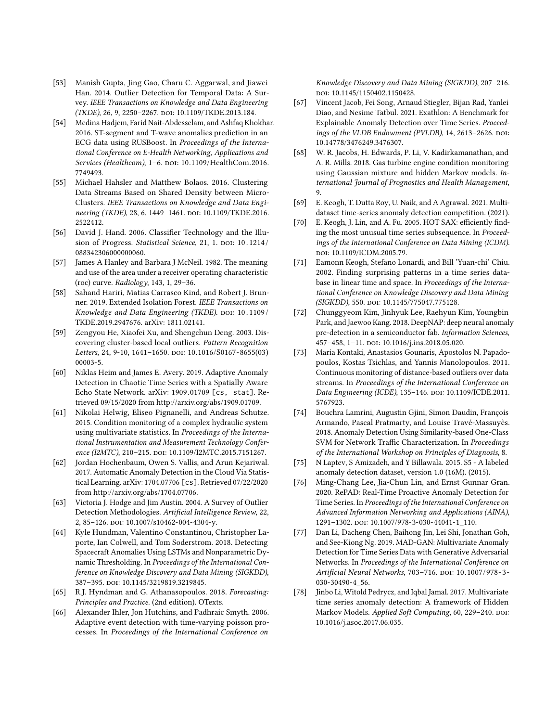- <span id="page-14-0"></span>[53] Manish Gupta, Jing Gao, Charu C. Aggarwal, and Jiawei Han. 2014. Outlier Detection for Temporal Data: A Survey. IEEE Transactions on Knowledge and Data Engineering (TKDE), 26, 9, 2250-2267. poi: [10.1109/TKDE.2013.184.](https://doi.org/10.1109/TKDE.2013.184)
- <span id="page-14-14"></span>[54] Medina Hadjem, Farid Nait-Abdesselam, and Ashfaq Khokhar. 2016. ST-segment and T-wave anomalies prediction in an ECG data using RUSBoost. In Proceedings of the International Conference on E-Health Networking, Applications and Services (Healthcom), 1-6. DOI: [10.1109/HealthCom.2016.](https://doi.org/10.1109/HealthCom.2016.7749493) [7749493.](https://doi.org/10.1109/HealthCom.2016.7749493)
- <span id="page-14-11"></span>[55] Michael Hahsler and Matthew Bolaos. 2016. Clustering Data Streams Based on Shared Density between Micro-Clusters. IEEE Transactions on Knowledge and Data Engi-neering (TKDE), 28, 6, 1449-1461. DOI: [10.1109/TKDE.2016.](https://doi.org/10.1109/TKDE.2016.2522412) [2522412.](https://doi.org/10.1109/TKDE.2016.2522412)
- <span id="page-14-25"></span>[56] David J. Hand. 2006. Classifier Technology and the Illusion of Progress. Statistical Science, 21, 1. DOI: 10.1214/ [088342306000000060.](https://doi.org/10.1214/088342306000000060)
- <span id="page-14-5"></span>[57] James A Hanley and Barbara J McNeil. 1982. The meaning and use of the area under a receiver operating characteristic (roc) curve. Radiology, 143, 1, 29–36.
- <span id="page-14-12"></span>[58] Sahand Hariri, Matias Carrasco Kind, and Robert J. Brunner. 2019. Extended Isolation Forest. IEEE Transactions on Knowledge and Data Engineering (TKDE). poi: 10.1109/ [TKDE.2019.2947676.](https://doi.org/10.1109/TKDE.2019.2947676) arXiv: [1811.02141.](https://arxiv.org/abs/1811.02141)
- <span id="page-14-10"></span>[59] Zengyou He, Xiaofei Xu, and Shengchun Deng. 2003. Discovering cluster-based local outliers. Pattern Recognition Letters, 24, 9-10, 1641-1650. doi: [10.1016/S0167-8655\(03\)](https://doi.org/10.1016/S0167-8655(03)00003-5) [00003-5.](https://doi.org/10.1016/S0167-8655(03)00003-5)
- <span id="page-14-4"></span>[60] Niklas Heim and James E. Avery. 2019. Adaptive Anomaly Detection in Chaotic Time Series with a Spatially Aware Echo State Network. arXiv: 1909.01709 [\[cs, stat\]](https://arxiv.org/abs/1909.01709). Retrieved 09/15/2020 from [http://arxiv.org/abs/1909.01709.](http://arxiv.org/abs/1909.01709)
- <span id="page-14-23"></span>[61] Nikolai Helwig, Eliseo Pignanelli, and Andreas Schutze. 2015. Condition monitoring of a complex hydraulic system using multivariate statistics. In Proceedings of the International Instrumentation and Measurement Technology Confer-ence (I2MTC), 210-215. DOI: [10.1109/I2MTC.2015.7151267.](https://doi.org/10.1109/I2MTC.2015.7151267)
- <span id="page-14-18"></span>[62] Jordan Hochenbaum, Owen S. Vallis, and Arun Kejariwal. 2017. Automatic Anomaly Detection in the Cloud Via Statistical Learning. arXiv: [1704.07706](https://arxiv.org/abs/1704.07706) [cs]. Retrieved 07/22/2020 from [http://arxiv.org/abs/1704.07706.](http://arxiv.org/abs/1704.07706)
- <span id="page-14-1"></span>[63] Victoria J. Hodge and Jim Austin. 2004. A Survey of Outlier Detection Methodologies. Artificial Intelligence Review, 22, 2, 85-126. doi: [10.1007/s10462-004-4304-y.](https://doi.org/10.1007/s10462-004-4304-y)
- <span id="page-14-8"></span>[64] Kyle Hundman, Valentino Constantinou, Christopher Laporte, Ian Colwell, and Tom Soderstrom. 2018. Detecting Spacecraft Anomalies Using LSTMs and Nonparametric Dynamic Thresholding. In Proceedings of the International Conference on Knowledge Discovery and Data Mining (SIGKDD), 387–395. doi: [10.1145/3219819.3219845.](https://doi.org/10.1145/3219819.3219845)
- <span id="page-14-3"></span>[65] R.J. Hyndman and G. Athanasopoulos. 2018. Forecasting: Principles and Practice. (2nd edition). OTexts.
- <span id="page-14-20"></span>[66] Alexander Ihler, Jon Hutchins, and Padhraic Smyth. 2006. Adaptive event detection with time-varying poisson processes. In Proceedings of the International Conference on

Knowledge Discovery and Data Mining (SIGKDD), 207–216. doi: [10.1145/1150402.1150428.](https://doi.org/10.1145/1150402.1150428)

- <span id="page-14-21"></span>[67] Vincent Jacob, Fei Song, Arnaud Stiegler, Bijan Rad, Yanlei Diao, and Nesime Tatbul. 2021. Exathlon: A Benchmark for Explainable Anomaly Detection over Time Series. Proceedings of the VLDB Endowment (PVLDB), 14, 2613-2626. DOI: [10.14778/3476249.3476307.](https://doi.org/10.14778/3476249.3476307)
- <span id="page-14-17"></span>[68] W. R. Jacobs, H. Edwards, P. Li, V. Kadirkamanathan, and A. R. Mills. 2018. Gas turbine engine condition monitoring using Gaussian mixture and hidden Markov models. International Journal of Prognostics and Health Management, 9.
- <span id="page-14-22"></span>[69] E. Keogh, T. Dutta Roy, U. Naik, and A Agrawal. 2021. Multidataset time-series anomaly detection competition. (2021).
- <span id="page-14-2"></span>[70] E. Keogh, J. Lin, and A. Fu. 2005. HOT SAX: efficiently finding the most unusual time series subsequence. In Proceedings of the International Conference on Data Mining (ICDM). doi: [10.1109/ICDM.2005.79.](https://doi.org/10.1109/ICDM.2005.79)
- <span id="page-14-13"></span>[71] Eamonn Keogh, Stefano Lonardi, and Bill 'Yuan-chi' Chiu. 2002. Finding surprising patterns in a time series database in linear time and space. In Proceedings of the International Conference on Knowledge Discovery and Data Mining (SIGKDD), 550. doi: [10.1145/775047.775128.](https://doi.org/10.1145/775047.775128)
- <span id="page-14-6"></span>[72] Chunggyeom Kim, Jinhyuk Lee, Raehyun Kim, Youngbin Park, and Jaewoo Kang. 2018. DeepNAP: deep neural anomaly pre-detection in a semiconductor fab. Information Sciences, 457–458, 1–11. doi: [10.1016/j.ins.2018.05.020.](https://doi.org/10.1016/j.ins.2018.05.020)
- <span id="page-14-9"></span>[73] Maria Kontaki, Anastasios Gounaris, Apostolos N. Papadopoulos, Kostas Tsichlas, and Yannis Manolopoulos. 2011. Continuous monitoring of distance-based outliers over data streams. In Proceedings of the International Conference on Data Engineering (ICDE), 135-146. poi: [10.1109/ICDE.2011.](https://doi.org/10.1109/ICDE.2011.5767923) [5767923.](https://doi.org/10.1109/ICDE.2011.5767923)
- <span id="page-14-15"></span>[74] Bouchra Lamrini, Augustin Gjini, Simon Daudin, François Armando, Pascal Pratmarty, and Louise Travé-Massuyès. 2018. Anomaly Detection Using Similarity-based One-Class SVM for Network Traffic Characterization. In Proceedings of the International Workshop on Principles of Diagnosis, 8.
- <span id="page-14-24"></span>[75] N Laptev, S Amizadeh, and Y Billawala. 2015. S5 - A labeled anomaly detection dataset, version 1.0 (16M). (2015).
- <span id="page-14-19"></span>[76] Ming-Chang Lee, Jia-Chun Lin, and Ernst Gunnar Gran. 2020. RePAD: Real-Time Proactive Anomaly Detection for Time Series. In Proceedings of the International Conference on Advanced Information Networking and Applications (AINA), 1291–1302. doi: [10.1007/978-3-030-44041-1\\_110.](https://doi.org/10.1007/978-3-030-44041-1_110)
- <span id="page-14-7"></span>[77] Dan Li, Dacheng Chen, Baihong Jin, Lei Shi, Jonathan Goh, and See-Kiong Ng. 2019. MAD-GAN: Multivariate Anomaly Detection for Time Series Data with Generative Adversarial Networks. In Proceedings of the International Conference on Artificial Neural Networks, 703-716. DOI: 10.1007/978-3-[030-30490-4\\_56.](https://doi.org/10.1007/978-3-030-30490-4_56)
- <span id="page-14-16"></span>[78] Jinbo Li, Witold Pedrycz, and Iqbal Jamal. 2017. Multivariate time series anomaly detection: A framework of Hidden Markov Models. Applied Soft Computing, 60, 229-240. DOI: [10.1016/j.asoc.2017.06.035.](https://doi.org/10.1016/j.asoc.2017.06.035)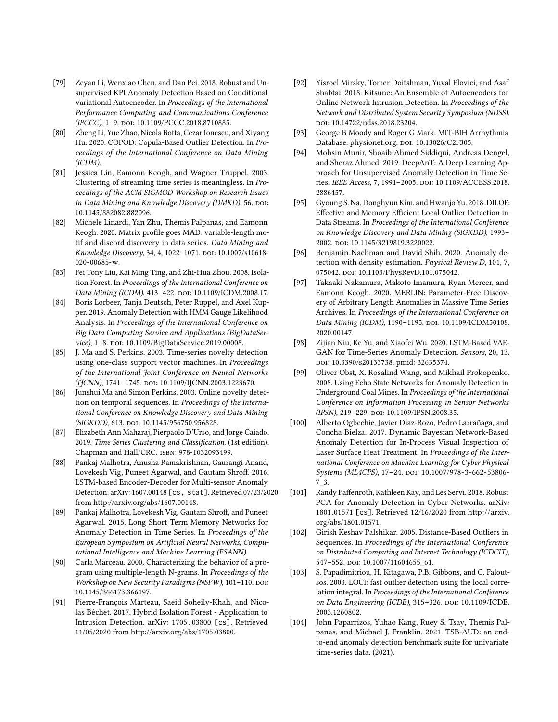- <span id="page-15-9"></span>[79] Zeyan Li, Wenxiao Chen, and Dan Pei. 2018. Robust and Unsupervised KPI Anomaly Detection Based on Conditional Variational Autoencoder. In Proceedings of the International Performance Computing and Communications Conference (IPCCC), 1–9. doi: [10.1109/PCCC.2018.8710885.](https://doi.org/10.1109/PCCC.2018.8710885)
- <span id="page-15-2"></span>[80] Zheng Li, Yue Zhao, Nicola Botta, Cezar Ionescu, and Xiyang Hu. 2020. COPOD: Copula-Based Outlier Detection. In Proceedings of the International Conference on Data Mining (ICDM).
- <span id="page-15-25"></span>[81] Jessica Lin, Eamonn Keogh, and Wagner Truppel. 2003. Clustering of streaming time series is meaningless. In Proceedings of the ACM SIGMOD Workshop on Research Issues in Data Mining and Knowledge Discovery (DMKD), 56. DOI: [10.1145/882082.882096.](https://doi.org/10.1145/882082.882096)
- <span id="page-15-17"></span>[82] Michele Linardi, Yan Zhu, Themis Palpanas, and Eamonn Keogh. 2020. Matrix profile goes MAD: variable-length motif and discord discovery in data series. Data Mining and Knowledge Discovery, 34, 4, 1022-1071. DOI: [10.1007/s10618-](https://doi.org/10.1007/s10618-020-00685-w) [020-00685-w.](https://doi.org/10.1007/s10618-020-00685-w)
- <span id="page-15-11"></span>[83] Fei Tony Liu, Kai Ming Ting, and Zhi-Hua Zhou. 2008. Isolation Forest. In Proceedings of the International Conference on Data Mining (ICDM), 413-422. DOI: [10.1109/ICDM.2008.17.](https://doi.org/10.1109/ICDM.2008.17)
- <span id="page-15-20"></span>[84] Boris Lorbeer, Tanja Deutsch, Peter Ruppel, and Axel Kupper. 2019. Anomaly Detection with HMM Gauge Likelihood Analysis. In Proceedings of the International Conference on Big Data Computing Service and Applications (BigDataSer-vice), 1-8. DOI: [10.1109/BigDataService.2019.00008.](https://doi.org/10.1109/BigDataService.2019.00008)
- <span id="page-15-1"></span>[85] J. Ma and S. Perkins. 2003. Time-series novelty detection using one-class support vector machines. In Proceedings of the International Joint Conference on Neural Networks (IJCNN), 1741-1745. doi: [10.1109/IJCNN.2003.1223670.](https://doi.org/10.1109/IJCNN.2003.1223670)
- <span id="page-15-3"></span>[86] Junshui Ma and Simon Perkins. 2003. Online novelty detection on temporal sequences. In Proceedings of the International Conference on Knowledge Discovery and Data Mining (SIGKDD), 613. doi: [10.1145/956750.956828.](https://doi.org/10.1145/956750.956828)
- <span id="page-15-0"></span>[87] Elizabeth Ann Maharaj, Pierpaolo D'Urso, and Jorge Caiado. 2019. Time Series Clustering and Classification. (1st edition). Chapman and Hall/CRC. isbn: 978-1032093499.
- <span id="page-15-6"></span>[88] Pankaj Malhotra, Anusha Ramakrishnan, Gaurangi Anand, Lovekesh Vig, Puneet Agarwal, and Gautam Shroff. 2016. LSTM-based Encoder-Decoder for Multi-sensor Anomaly Detection. arXiv: 1607.00148 [\[cs, stat\]](https://arxiv.org/abs/1607.00148). Retrieved 07/23/2020 from [http://arxiv.org/abs/1607.00148.](http://arxiv.org/abs/1607.00148)
- <span id="page-15-8"></span>[89] Pankaj Malhotra, Lovekesh Vig, Gautam Shroff, and Puneet Agarwal. 2015. Long Short Term Memory Networks for Anomaly Detection in Time Series. In Proceedings of the European Symposium on Artificial Neural Networks, Computational Intelligence and Machine Learning (ESANN).
- <span id="page-15-14"></span>[90] Carla Marceau. 2000. Characterizing the behavior of a program using multiple-length N-grams. In Proceedings of the Workshop on New Security Paradigms (NSPW), 101-110. DOI: [10.1145/366173.366197.](https://doi.org/10.1145/366173.366197)
- <span id="page-15-13"></span>[91] Pierre-François Marteau, Saeid Soheily-Khah, and Nicolas Béchet. 2017. Hybrid Isolation Forest - Application to Intrusion Detection. arXiv: [1705 . 03800](https://arxiv.org/abs/1705.03800) [cs]. Retrieved 11/05/2020 from [http://arxiv.org/abs/1705.03800.](http://arxiv.org/abs/1705.03800)
- <span id="page-15-22"></span>[92] Yisroel Mirsky, Tomer Doitshman, Yuval Elovici, and Asaf Shabtai. 2018. Kitsune: An Ensemble of Autoencoders for Online Network Intrusion Detection. In Proceedings of the Network and Distributed System Security Symposium (NDSS). doi: [10.14722/ndss.2018.23204.](https://doi.org/10.14722/ndss.2018.23204)
- <span id="page-15-23"></span>[93] George B Moody and Roger G Mark. MIT-BIH Arrhythmia Database. physionet.org. DOI: [10.13026/C2F305.](https://doi.org/10.13026/C2F305)
- <span id="page-15-4"></span>[94] Mohsin Munir, Shoaib Ahmed Siddiqui, Andreas Dengel, and Sheraz Ahmed. 2019. DeepAnT: A Deep Learning Approach for Unsupervised Anomaly Detection in Time Series. IEEE Access, 7, 1991–2005. doi: [10.1109/ACCESS.2018.](https://doi.org/10.1109/ACCESS.2018.2886457) [2886457.](https://doi.org/10.1109/ACCESS.2018.2886457)
- <span id="page-15-12"></span>[95] Gyoung S. Na, Donghyun Kim, and Hwanjo Yu. 2018. DILOF: Effective and Memory Efficient Local Outlier Detection in Data Streams. In Proceedings of the International Conference on Knowledge Discovery and Data Mining (SIGKDD), 1993– 2002. doi: [10.1145/3219819.3220022.](https://doi.org/10.1145/3219819.3220022)
- <span id="page-15-21"></span>[96] Benjamin Nachman and David Shih. 2020. Anomaly detection with density estimation. Physical Review D, 101, 7, 075042. poi: [10.1103/PhysRevD.101.075042.](https://doi.org/10.1103/PhysRevD.101.075042)
- <span id="page-15-15"></span>[97] Takaaki Nakamura, Makoto Imamura, Ryan Mercer, and Eamonn Keogh. 2020. MERLIN: Parameter-Free Discovery of Arbitrary Length Anomalies in Massive Time Series Archives. In Proceedings of the International Conference on Data Mining (ICDM), 1190-1195. DOI: [10.1109/ICDM50108.](https://doi.org/10.1109/ICDM50108.2020.00147) [2020.00147.](https://doi.org/10.1109/ICDM50108.2020.00147)
- <span id="page-15-7"></span>[98] Zijian Niu, Ke Yu, and Xiaofei Wu. 2020. LSTM-Based VAE-GAN for Time-Series Anomaly Detection. Sensors, 20, 13. doi: [10.3390/s20133738.](https://doi.org/10.3390/s20133738) pmid: [32635374.](32635374)
- <span id="page-15-5"></span>[99] Oliver Obst, X. Rosalind Wang, and Mikhail Prokopenko. 2008. Using Echo State Networks for Anomaly Detection in Underground Coal Mines. In Proceedings of the International Conference on Information Processing in Sensor Networks (IPSN), 219-229. doi: [10.1109/IPSN.2008.35.](https://doi.org/10.1109/IPSN.2008.35)
- <span id="page-15-19"></span>[100] Alberto Ogbechie, Javier Díaz-Rozo, Pedro Larrañaga, and Concha Bielza. 2017. Dynamic Bayesian Network-Based Anomaly Detection for In-Process Visual Inspection of Laser Surface Heat Treatment. In Proceedings of the International Conference on Machine Learning for Cyber Physical Systems (ML4CPS), 17-24. DOI: [10.1007/978-3-662-53806-](https://doi.org/10.1007/978-3-662-53806-7_3) [7\\_3.](https://doi.org/10.1007/978-3-662-53806-7_3)
- <span id="page-15-18"></span>[101] Randy Paffenroth, Kathleen Kay, and Les Servi. 2018. Robust PCA for Anomaly Detection in Cyber Networks. arXiv: [1801.01571](https://arxiv.org/abs/1801.01571) [cs]. Retrieved 12/16/2020 from [http://arxiv.](http://arxiv.org/abs/1801.01571) [org/abs/1801.01571.](http://arxiv.org/abs/1801.01571)
- <span id="page-15-16"></span>[102] Girish Keshav Palshikar. 2005. Distance-Based Outliers in Sequences. In Proceedings of the International Conference on Distributed Computing and Internet Technology (ICDCIT), 547–552. doi: [10.1007/11604655\\_61.](https://doi.org/10.1007/11604655_61)
- <span id="page-15-10"></span>[103] S. Papadimitriou, H. Kitagawa, P.B. Gibbons, and C. Faloutsos. 2003. LOCI: fast outlier detection using the local correlation integral. In Proceedings of the International Conference on Data Engineering (ICDE), 315-326. DOI: [10.1109/ICDE.](https://doi.org/10.1109/ICDE.2003.1260802) [2003.1260802.](https://doi.org/10.1109/ICDE.2003.1260802)
- <span id="page-15-24"></span>[104] John Paparrizos, Yuhao Kang, Ruey S. Tsay, Themis Palpanas, and Michael J. Franklin. 2021. TSB-AUD: an endto-end anomaly detection benchmark suite for univariate time-series data. (2021).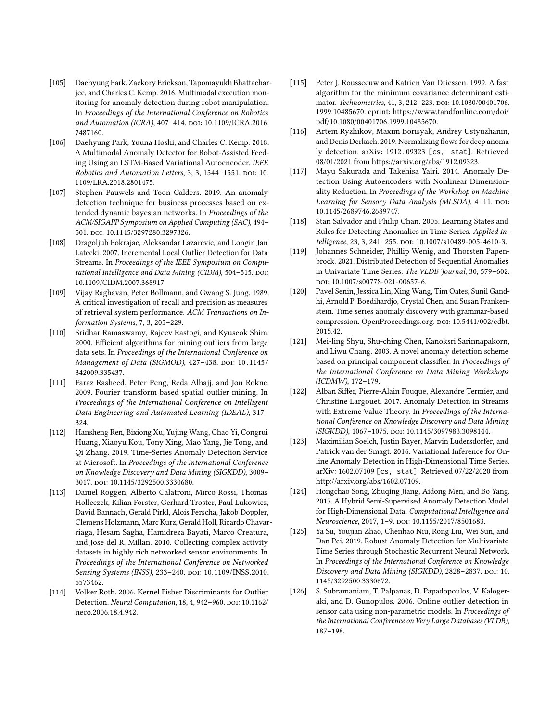- <span id="page-16-16"></span>[105] Daehyung Park, Zackory Erickson, Tapomayukh Bhattacharjee, and Charles C. Kemp. 2016. Multimodal execution monitoring for anomaly detection during robot manipulation. In Proceedings of the International Conference on Robotics and Automation (ICRA), 407-414. DOI: [10.1109/ICRA.2016.](https://doi.org/10.1109/ICRA.2016.7487160) [7487160.](https://doi.org/10.1109/ICRA.2016.7487160)
- <span id="page-16-6"></span>[106] Daehyung Park, Yuuna Hoshi, and Charles C. Kemp. 2018. A Multimodal Anomaly Detector for Robot-Assisted Feeding Using an LSTM-Based Variational Autoencoder. IEEE Robotics and Automation Letters, 3, 3, 1544-1551. DOI: [10.](https://doi.org/10.1109/LRA.2018.2801475) [1109/LRA.2018.2801475.](https://doi.org/10.1109/LRA.2018.2801475)
- <span id="page-16-17"></span>[107] Stephen Pauwels and Toon Calders. 2019. An anomaly detection technique for business processes based on extended dynamic bayesian networks. In Proceedings of the ACM/SIGAPP Symposium on Applied Computing (SAC), 494– 501. doi: [10.1145/3297280.3297326.](https://doi.org/10.1145/3297280.3297326)
- <span id="page-16-10"></span>[108] Dragoljub Pokrajac, Aleksandar Lazarevic, and Longin Jan Latecki. 2007. Incremental Local Outlier Detection for Data Streams. In Proceedings of the IEEE Symposium on Computational Intelligence and Data Mining (CIDM), 504-515. DOI: [10.1109/CIDM.2007.368917.](https://doi.org/10.1109/CIDM.2007.368917)
- <span id="page-16-1"></span>[109] Vijay Raghavan, Peter Bollmann, and Gwang S. Jung. 1989. A critical investigation of recall and precision as measures of retrieval system performance. ACM Transactions on Information Systems, 7, 3, 205–229.
- <span id="page-16-13"></span>[110] Sridhar Ramaswamy, Rajeev Rastogi, and Kyuseok Shim. 2000. Efficient algorithms for mining outliers from large data sets. In Proceedings of the International Conference on Management of Data (SIGMOD), 427-438. DOI: 10.1145/ [342009.335437.](https://doi.org/10.1145/342009.335437)
- <span id="page-16-15"></span>[111] Faraz Rasheed, Peter Peng, Reda Alhajj, and Jon Rokne. 2009. Fourier transform based spatial outlier mining. In Proceedings of the International Conference on Intelligent Data Engineering and Automated Learning (IDEAL), 317– 324.
- <span id="page-16-0"></span>[112] Hansheng Ren, Bixiong Xu, Yujing Wang, Chao Yi, Congrui Huang, Xiaoyu Kou, Tony Xing, Mao Yang, Jie Tong, and Qi Zhang. 2019. Time-Series Anomaly Detection Service at Microsoft. In Proceedings of the International Conference on Knowledge Discovery and Data Mining (SIGKDD), 3009– 3017. doi: [10.1145/3292500.3330680.](https://doi.org/10.1145/3292500.3330680)
- <span id="page-16-21"></span>[113] Daniel Roggen, Alberto Calatroni, Mirco Rossi, Thomas Holleczek, Kilian Forster, Gerhard Troster, Paul Lukowicz, David Bannach, Gerald Pirkl, Alois Ferscha, Jakob Doppler, Clemens Holzmann, Marc Kurz, Gerald Holl, Ricardo Chavarriaga, Hesam Sagha, Hamidreza Bayati, Marco Creatura, and Jose del R. Millan. 2010. Collecting complex activity datasets in highly rich networked sensor environments. In Proceedings of the International Conference on Networked Sensing Systems (INSS), 233-240. DOI: [10.1109/INSS.2010.](https://doi.org/10.1109/INSS.2010.5573462) [5573462.](https://doi.org/10.1109/INSS.2010.5573462)
- <span id="page-16-14"></span>[114] Volker Roth. 2006. Kernel Fisher Discriminants for Outlier Detection. Neural Computation, 18, 4, 942-960. DOI: [10.1162/](https://doi.org/10.1162/neco.2006.18.4.942) [neco.2006.18.4.942.](https://doi.org/10.1162/neco.2006.18.4.942)
- <span id="page-16-18"></span>[115] Peter J. Rousseeuw and Katrien Van Driessen. 1999. A fast algorithm for the minimum covariance determinant esti-mator. Technometrics, 41, 3, 212-223. DOI: [10.1080/00401706.](https://doi.org/10.1080/00401706.1999.10485670) [1999.10485670.](https://doi.org/10.1080/00401706.1999.10485670) eprint: [https://www.tandfonline.com/doi/](https://www.tandfonline.com/doi/pdf/10.1080/00401706.1999.10485670) [pdf/10.1080/00401706.1999.10485670.](https://www.tandfonline.com/doi/pdf/10.1080/00401706.1999.10485670)
- <span id="page-16-2"></span>[116] Artem Ryzhikov, Maxim Borisyak, Andrey Ustyuzhanin, and Denis Derkach. 2019. Normalizing flows for deep anomaly detection. arXiv: 1912 . 09323 [\[cs, stat\]](https://arxiv.org/abs/1912.09323). Retrieved 08/01/2021 from [https://arxiv.org/abs/1912.09323.](https://arxiv.org/abs/1912.09323)
- <span id="page-16-5"></span>[117] Mayu Sakurada and Takehisa Yairi. 2014. Anomaly Detection Using Autoencoders with Nonlinear Dimensionality Reduction. In Proceedings of the Workshop on Machine Learning for Sensory Data Analysis (MLSDA), 4-11. DOI: [10.1145/2689746.2689747.](https://doi.org/10.1145/2689746.2689747)
- <span id="page-16-8"></span>[118] Stan Salvador and Philip Chan. 2005. Learning States and Rules for Detecting Anomalies in Time Series. Applied In-telligence, 23, 3, 241-255. DOI: [10.1007/s10489-005-4610-3.](https://doi.org/10.1007/s10489-005-4610-3)
- <span id="page-16-11"></span>[119] Johannes Schneider, Phillip Wenig, and Thorsten Papenbrock. 2021. Distributed Detection of Sequential Anomalies in Univariate Time Series. The VLDB Journal, 30, 579–602. doi: [10.1007/s00778-021-00657-6.](https://doi.org/10.1007/s00778-021-00657-6)
- <span id="page-16-9"></span>[120] Pavel Senin, Jessica Lin, Xing Wang, Tim Oates, Sunil Gandhi, Arnold P. Boedihardjo, Crystal Chen, and Susan Frankenstein. Time series anomaly discovery with grammar-based compression. OpenProceedings.org. DOI: [10.5441/002/edbt.](https://doi.org/10.5441/002/edbt.2015.42) [2015.42.](https://doi.org/10.5441/002/edbt.2015.42)
- <span id="page-16-12"></span>[121] Mei-ling Shyu, Shu-ching Chen, Kanoksri Sarinnapakorn, and Liwu Chang. 2003. A novel anomaly detection scheme based on principal component classifier. In Proceedings of the International Conference on Data Mining Workshops (ICDMW), 172–179.
- <span id="page-16-20"></span>[122] Alban Siffer, Pierre-Alain Fouque, Alexandre Termier, and Christine Largouet. 2017. Anomaly Detection in Streams with Extreme Value Theory. In Proceedings of the International Conference on Knowledge Discovery and Data Mining (SIGKDD), 1067–1075. doi: [10.1145/3097983.3098144.](https://doi.org/10.1145/3097983.3098144)
- <span id="page-16-3"></span>[123] Maximilian Soelch, Justin Bayer, Marvin Ludersdorfer, and Patrick van der Smagt. 2016. Variational Inference for Online Anomaly Detection in High-Dimensional Time Series. arXiv: 1602.07109 [\[cs, stat\]](https://arxiv.org/abs/1602.07109). Retrieved 07/22/2020 from [http://arxiv.org/abs/1602.07109.](http://arxiv.org/abs/1602.07109)
- <span id="page-16-4"></span>[124] Hongchao Song, Zhuqing Jiang, Aidong Men, and Bo Yang. 2017. A Hybrid Semi-Supervised Anomaly Detection Model for High-Dimensional Data. Computational Intelligence and Neuroscience, 2017, 1-9. DOI: [10.1155/2017/8501683.](https://doi.org/10.1155/2017/8501683)
- <span id="page-16-7"></span>[125] Ya Su, Youjian Zhao, Chenhao Niu, Rong Liu, Wei Sun, and Dan Pei. 2019. Robust Anomaly Detection for Multivariate Time Series through Stochastic Recurrent Neural Network. In Proceedings of the International Conference on Knowledge Discovery and Data Mining (SIGKDD), 2828-2837. DOI: [10.](https://doi.org/10.1145/3292500.3330672) [1145/3292500.3330672.](https://doi.org/10.1145/3292500.3330672)
- <span id="page-16-19"></span>[126] S. Subramaniam, T. Palpanas, D. Papadopoulos, V. Kalogeraki, and D. Gunopulos. 2006. Online outlier detection in sensor data using non-parametric models. In Proceedings of the International Conference on Very Large Databases (VLDB), 187–198.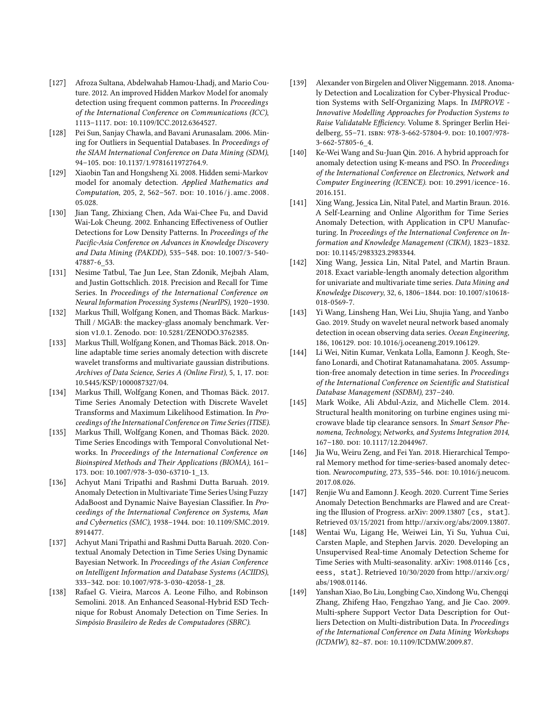- <span id="page-17-16"></span>[127] Afroza Sultana, Abdelwahab Hamou-Lhadj, and Mario Couture. 2012. An improved Hidden Markov Model for anomaly detection using frequent common patterns. In Proceedings of the International Conference on Communications (ICC), 1113-1117. doi: [10.1109/ICC.2012.6364527.](https://doi.org/10.1109/ICC.2012.6364527)
- <span id="page-17-9"></span>[128] Pei Sun, Sanjay Chawla, and Bavani Arunasalam. 2006. Mining for Outliers in Sequential Databases. In Proceedings of the SIAM International Conference on Data Mining (SDM), 94-105. doi: [10.1137/1.9781611972764.9.](https://doi.org/10.1137/1.9781611972764.9)
- <span id="page-17-19"></span>[129] Xiaobin Tan and Hongsheng Xi. 2008. Hidden semi-Markov model for anomaly detection. Applied Mathematics and Computation, 205, 2, 562-567. DOI: 10.1016/j.amc.2008. [05.028.](https://doi.org/10.1016/j.amc.2008.05.028)
- <span id="page-17-7"></span>[130] Jian Tang, Zhixiang Chen, Ada Wai-Chee Fu, and David Wai-Lok Cheung. 2002. Enhancing Effectiveness of Outlier Detections for Low Density Patterns. In Proceedings of the Pacific-Asia Conference on Advances in Knowledge Discovery and Data Mining (PAKDD), 535-548. poi: [10.1007/3-540-](https://doi.org/10.1007/3-540-47887-6_53) [47887-6\\_53.](https://doi.org/10.1007/3-540-47887-6_53)
- <span id="page-17-2"></span>[131] Nesime Tatbul, Tae Jun Lee, Stan Zdonik, Mejbah Alam, and Justin Gottschlich. 2018. Precision and Recall for Time Series. In Proceedings of the International Conference on Neural Information Processing Systems (NeurIPS), 1920–1930.
- <span id="page-17-22"></span>[132] Markus Thill, Wolfgang Konen, and Thomas Bäck. Markus-Thill / MGAB: the mackey-glass anomaly benchmark. Ver-sion v1.0.1. Zenodo. DOI: [10.5281/ZENODO.3762385.](https://doi.org/10.5281/ZENODO.3762385)
- <span id="page-17-15"></span>[133] Markus Thill, Wolfgang Konen, and Thomas Bäck. 2018. Online adaptable time series anomaly detection with discrete wavelet transforms and multivariate gaussian distributions. Archives of Data Science, Series A (Online First), 5, 1, 17. DOI: [10.5445/KSP/1000087327/04.](https://doi.org/10.5445/KSP/1000087327/04)
- <span id="page-17-14"></span>[134] Markus Thill, Wolfgang Konen, and Thomas Bäck. 2017. Time Series Anomaly Detection with Discrete Wavelet Transforms and Maximum Likelihood Estimation. In Proceedings of the International Conference on Time Series (ITISE).
- <span id="page-17-4"></span>[135] Markus Thill, Wolfgang Konen, and Thomas Bäck. 2020. Time Series Encodings with Temporal Convolutional Networks. In Proceedings of the International Conference on Bioinspired Methods and Their Applications (BIOMA), 161– 173. doi: [10.1007/978-3-030-63710-1\\_13.](https://doi.org/10.1007/978-3-030-63710-1_13)
- <span id="page-17-18"></span>[136] Achyut Mani Tripathi and Rashmi Dutta Baruah. 2019. Anomaly Detection in Multivariate Time Series Using Fuzzy AdaBoost and Dynamic Naive Bayesian Classifier. In Proceedings of the International Conference on Systems, Man and Cybernetics (SMC), 1938-1944. DOI: [10.1109/SMC.2019.](https://doi.org/10.1109/SMC.2019.8914477) [8914477.](https://doi.org/10.1109/SMC.2019.8914477)
- <span id="page-17-17"></span>[137] Achyut Mani Tripathi and Rashmi Dutta Baruah. 2020. Contextual Anomaly Detection in Time Series Using Dynamic Bayesian Network. In Proceedings of the Asian Conference on Intelligent Information and Database Systems (ACIIDS), 333–342. doi: [10.1007/978-3-030-42058-1\\_28.](https://doi.org/10.1007/978-3-030-42058-1_28)
- <span id="page-17-20"></span>[138] Rafael G. Vieira, Marcos A. Leone Filho, and Robinson Semolini. 2018. An Enhanced Seasonal-Hybrid ESD Technique for Robust Anomaly Detection on Time Series. In Simpósio Brasileiro de Redes de Computadores (SBRC).
- <span id="page-17-21"></span>[139] Alexander von Birgelen and Oliver Niggemann. 2018. Anomaly Detection and Localization for Cyber-Physical Production Systems with Self-Organizing Maps. In IMPROVE - Innovative Modelling Approaches for Production Systems to Raise Validatable Efficiency. Volume 8. Springer Berlin Hei-delberg, 55-71. ISBN: 978-3-662-57804-9. DOI: [10.1007/978-](https://doi.org/10.1007/978-3-662-57805-6_4) [3-662-57805-6\\_4.](https://doi.org/10.1007/978-3-662-57805-6_4)
- <span id="page-17-12"></span>[140] Ke-Wei Wang and Su-Juan Qin. 2016. A hybrid approach for anomaly detection using K-means and PSO. In Proceedings of the International Conference on Electronics, Network and Computer Engineering (ICENCE). DOI: [10.2991/icence-16.](https://doi.org/10.2991/icence-16.2016.151) [2016.151.](https://doi.org/10.2991/icence-16.2016.151)
- <span id="page-17-13"></span>[141] Xing Wang, Jessica Lin, Nital Patel, and Martin Braun. 2016. A Self-Learning and Online Algorithm for Time Series Anomaly Detection, with Application in CPU Manufacturing. In Proceedings of the International Conference on Information and Knowledge Management (CIKM), 1823–1832. doi: [10.1145/2983323.2983344.](https://doi.org/10.1145/2983323.2983344)
- <span id="page-17-11"></span>[142] Xing Wang, Jessica Lin, Nital Patel, and Martin Braun. 2018. Exact variable-length anomaly detection algorithm for univariate and multivariate time series. Data Mining and Knowledge Discovery, 32, 6, 1806-1844. DOI: [10.1007/s10618-](https://doi.org/10.1007/s10618-018-0569-7) [018-0569-7.](https://doi.org/10.1007/s10618-018-0569-7)
- <span id="page-17-6"></span>[143] Yi Wang, Linsheng Han, Wei Liu, Shujia Yang, and Yanbo Gao. 2019. Study on wavelet neural network based anomaly detection in ocean observing data series. Ocean Engineering, 186, 106129. doi: [10.1016/j.oceaneng.2019.106129.](https://doi.org/10.1016/j.oceaneng.2019.106129)
- <span id="page-17-8"></span>[144] Li Wei, Nitin Kumar, Venkata Lolla, Eamonn J. Keogh, Stefano Lonardi, and Chotirat Ratanamahatana. 2005. Assumption-free anomaly detection in time series. In Proceedings of the International Conference on Scientific and Statistical Database Management (SSDBM), 237–240.
- <span id="page-17-0"></span>[145] Mark Woike, Ali Abdul-Aziz, and Michelle Clem. 2014. Structural health monitoring on turbine engines using microwave blade tip clearance sensors. In Smart Sensor Phenomena, Technology, Networks, and Systems Integration 2014, 167–180. doi: [10.1117/12.2044967.](https://doi.org/10.1117/12.2044967)
- <span id="page-17-3"></span>[146] Jia Wu, Weiru Zeng, and Fei Yan. 2018. Hierarchical Temporal Memory method for time-series-based anomaly detec-tion. Neurocomputing, 273, 535-546. DOI: [10.1016/j.neucom.](https://doi.org/10.1016/j.neucom.2017.08.026) [2017.08.026.](https://doi.org/10.1016/j.neucom.2017.08.026)
- <span id="page-17-1"></span>[147] Renjie Wu and Eamonn J. Keogh. 2020. Current Time Series Anomaly Detection Benchmarks are Flawed and are Creating the Illusion of Progress. arXiv: 2009.13807 [\[cs, stat\]](https://arxiv.org/abs/2009.13807). Retrieved 03/15/2021 from [http://arxiv.org/abs/2009.13807.](http://arxiv.org/abs/2009.13807)
- <span id="page-17-5"></span>[148] Wentai Wu, Ligang He, Weiwei Lin, Yi Su, Yuhua Cui, Carsten Maple, and Stephen Jarvis. 2020. Developing an Unsupervised Real-time Anomaly Detection Scheme for Time Series with Multi-seasonality. arXiv: [1908.01146](https://arxiv.org/abs/1908.01146) [cs, [eess, stat\]](https://arxiv.org/abs/1908.01146). Retrieved 10/30/2020 from [http://arxiv.org/](http://arxiv.org/abs/1908.01146) [abs/1908.01146.](http://arxiv.org/abs/1908.01146)
- <span id="page-17-10"></span>[149] Yanshan Xiao, Bo Liu, Longbing Cao, Xindong Wu, Chengqi Zhang, Zhifeng Hao, Fengzhao Yang, and Jie Cao. 2009. Multi-sphere Support Vector Data Description for Outliers Detection on Multi-distribution Data. In Proceedings of the International Conference on Data Mining Workshops (ICDMW), 82-87. poi: [10.1109/ICDMW.2009.87.](https://doi.org/10.1109/ICDMW.2009.87)